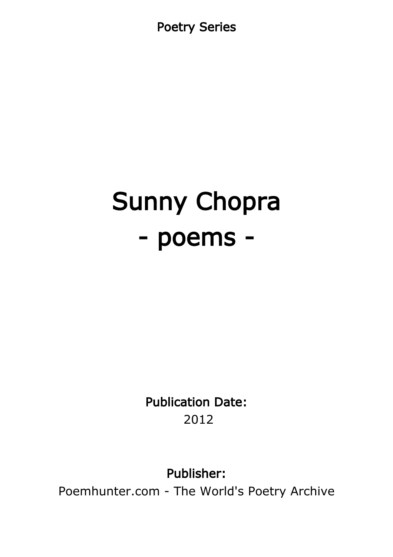Poetry Series

# Sunny Chopra - poems -

Publication Date: 2012

Publisher:

Poemhunter.com - The World's Poetry Archive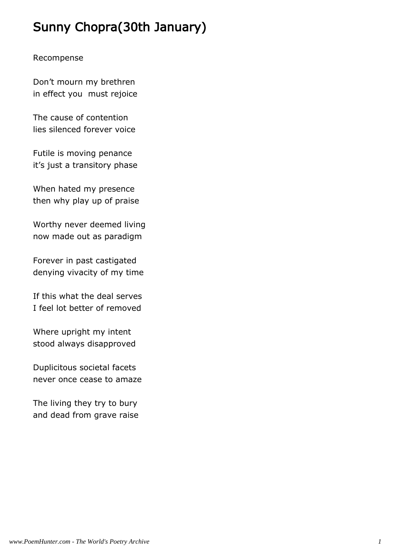# Sunny Chopra(30th January)

#### Recompense

Don't mourn my brethren in effect you must rejoice

The cause of contention lies silenced forever voice

Futile is moving penance it's just a transitory phase

When hated my presence then why play up of praise

Worthy never deemed living now made out as paradigm

Forever in past castigated denying vivacity of my time

If this what the deal serves I feel lot better of removed

Where upright my intent stood always disapproved

Duplicitous societal facets never once cease to amaze

The living they try to bury and dead from grave raise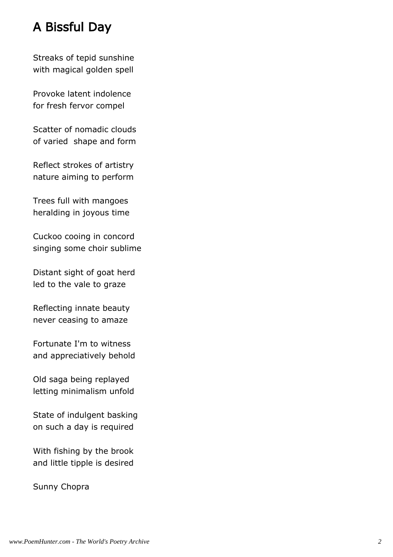# A Bissful Day

Streaks of tepid sunshine with magical golden spell

Provoke latent indolence for fresh fervor compel

Scatter of nomadic clouds of varied shape and form

Reflect strokes of artistry nature aiming to perform

Trees full with mangoes heralding in joyous time

Cuckoo cooing in concord singing some choir sublime

Distant sight of goat herd led to the vale to graze

Reflecting innate beauty never ceasing to amaze

Fortunate I'm to witness and appreciatively behold

Old saga being replayed letting minimalism unfold

State of indulgent basking on such a day is required

With fishing by the brook and little tipple is desired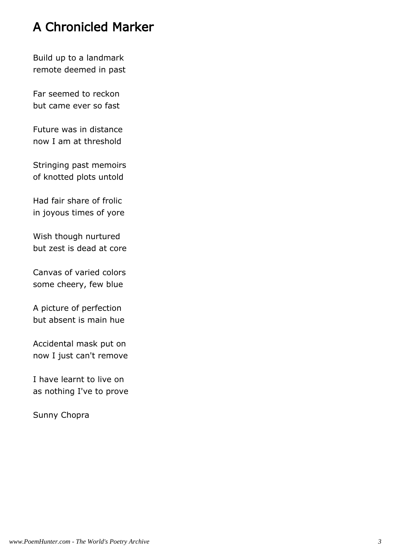# A Chronicled Marker

Build up to a landmark remote deemed in past

Far seemed to reckon but came ever so fast

Future was in distance now I am at threshold

Stringing past memoirs of knotted plots untold

Had fair share of frolic in joyous times of yore

Wish though nurtured but zest is dead at core

Canvas of varied colors some cheery, few blue

A picture of perfection but absent is main hue

Accidental mask put on now I just can't remove

I have learnt to live on as nothing I've to prove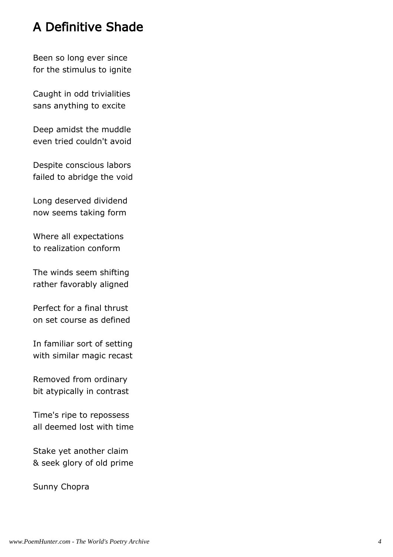# A Definitive Shade

Been so long ever since for the stimulus to ignite

Caught in odd trivialities sans anything to excite

Deep amidst the muddle even tried couldn't avoid

Despite conscious labors failed to abridge the void

Long deserved dividend now seems taking form

Where all expectations to realization conform

The winds seem shifting rather favorably aligned

Perfect for a final thrust on set course as defined

In familiar sort of setting with similar magic recast

Removed from ordinary bit atypically in contrast

Time's ripe to repossess all deemed lost with time

Stake yet another claim & seek glory of old prime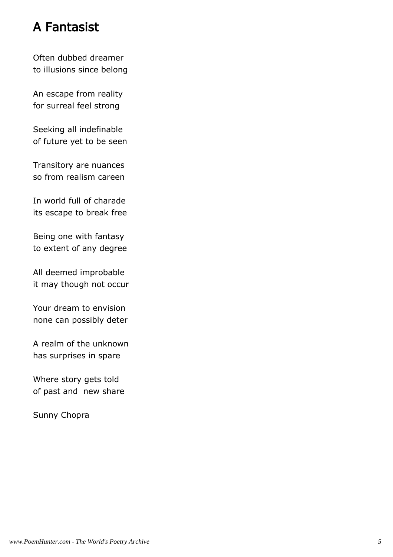# A Fantasist

Often dubbed dreamer to illusions since belong

An escape from reality for surreal feel strong

Seeking all indefinable of future yet to be seen

Transitory are nuances so from realism careen

In world full of charade its escape to break free

Being one with fantasy to extent of any degree

All deemed improbable it may though not occur

Your dream to envision none can possibly deter

A realm of the unknown has surprises in spare

Where story gets told of past and new share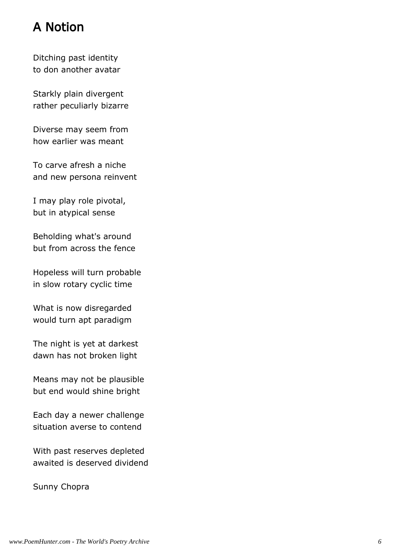# A Notion

Ditching past identity to don another avatar

Starkly plain divergent rather peculiarly bizarre

Diverse may seem from how earlier was meant

To carve afresh a niche and new persona reinvent

I may play role pivotal, but in atypical sense

Beholding what's around but from across the fence

Hopeless will turn probable in slow rotary cyclic time

What is now disregarded would turn apt paradigm

The night is yet at darkest dawn has not broken light

Means may not be plausible but end would shine bright

Each day a newer challenge situation averse to contend

With past reserves depleted awaited is deserved dividend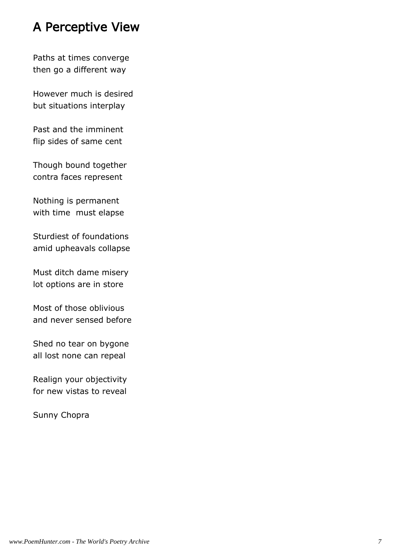# A Perceptive View

Paths at times converge then go a different way

However much is desired but situations interplay

Past and the imminent flip sides of same cent

Though bound together contra faces represent

Nothing is permanent with time must elapse

Sturdiest of foundations amid upheavals collapse

Must ditch dame misery lot options are in store

Most of those oblivious and never sensed before

Shed no tear on bygone all lost none can repeal

Realign your objectivity for new vistas to reveal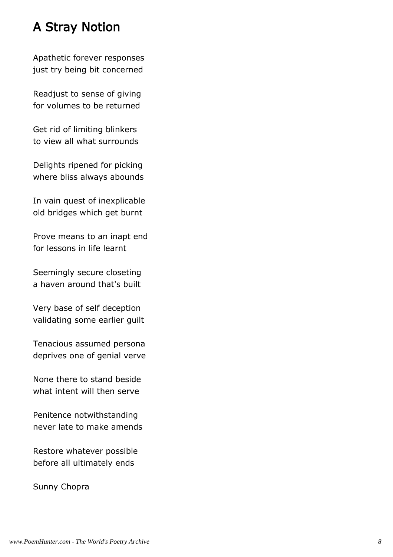# A Stray Notion

Apathetic forever responses just try being bit concerned

Readjust to sense of giving for volumes to be returned

Get rid of limiting blinkers to view all what surrounds

Delights ripened for picking where bliss always abounds

In vain quest of inexplicable old bridges which get burnt

Prove means to an inapt end for lessons in life learnt

Seemingly secure closeting a haven around that's built

Very base of self deception validating some earlier guilt

Tenacious assumed persona deprives one of genial verve

None there to stand beside what intent will then serve

Penitence notwithstanding never late to make amends

Restore whatever possible before all ultimately ends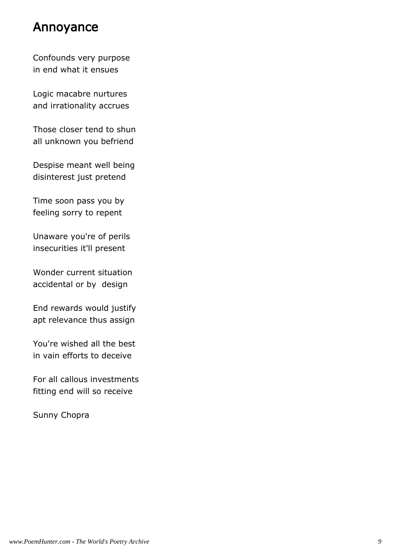#### Annoyance

Confounds very purpose in end what it ensues

Logic macabre nurtures and irrationality accrues

Those closer tend to shun all unknown you befriend

Despise meant well being disinterest just pretend

Time soon pass you by feeling sorry to repent

Unaware you're of perils insecurities it'll present

Wonder current situation accidental or by design

End rewards would justify apt relevance thus assign

You're wished all the best in vain efforts to deceive

For all callous investments fitting end will so receive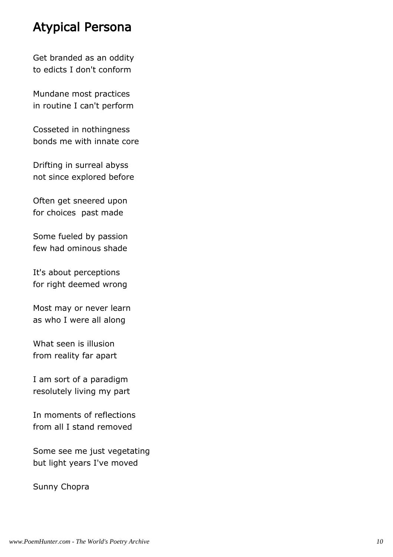#### Atypical Persona

Get branded as an oddity to edicts I don't conform

Mundane most practices in routine I can't perform

Cosseted in nothingness bonds me with innate core

Drifting in surreal abyss not since explored before

Often get sneered upon for choices past made

Some fueled by passion few had ominous shade

It's about perceptions for right deemed wrong

Most may or never learn as who I were all along

What seen is illusion from reality far apart

I am sort of a paradigm resolutely living my part

In moments of reflections from all I stand removed

Some see me just vegetating but light years I've moved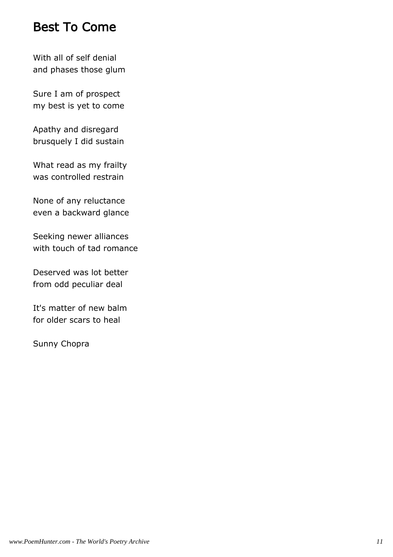#### Best To Come

With all of self denial and phases those glum

Sure I am of prospect my best is yet to come

Apathy and disregard brusquely I did sustain

What read as my frailty was controlled restrain

None of any reluctance even a backward glance

Seeking newer alliances with touch of tad romance

Deserved was lot better from odd peculiar deal

It's matter of new balm for older scars to heal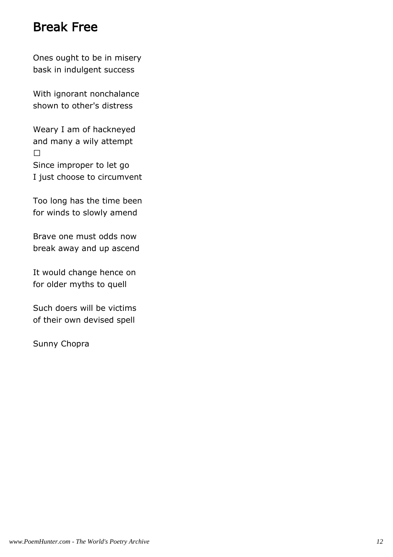#### Break Free

Ones ought to be in misery bask in indulgent success

With ignorant nonchalance shown to other's distress

Weary I am of hackneyed and many a wily attempt

Since improper to let go I just choose to circumvent

Too long has the time been for winds to slowly amend

Brave one must odds now break away and up ascend

It would change hence on for older myths to quell

Such doers will be victims of their own devised spell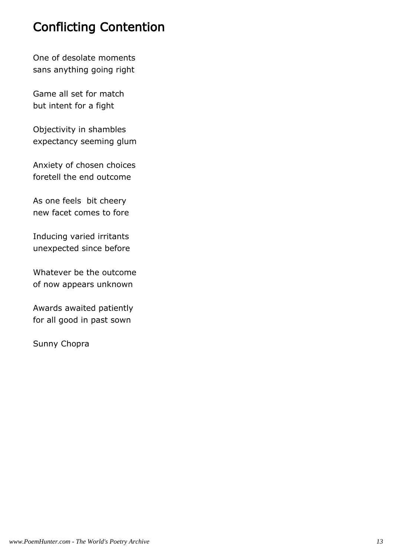# Conflicting Contention

One of desolate moments sans anything going right

Game all set for match but intent for a fight

Objectivity in shambles expectancy seeming glum

Anxiety of chosen choices foretell the end outcome

As one feels bit cheery new facet comes to fore

Inducing varied irritants unexpected since before

Whatever be the outcome of now appears unknown

Awards awaited patiently for all good in past sown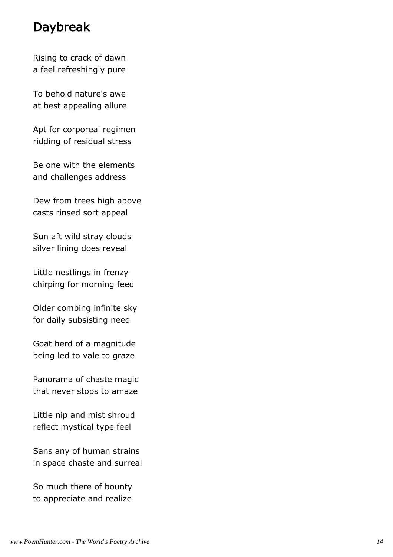# Daybreak

Rising to crack of dawn a feel refreshingly pure

To behold nature's awe at best appealing allure

Apt for corporeal regimen ridding of residual stress

Be one with the elements and challenges address

Dew from trees high above casts rinsed sort appeal

Sun aft wild stray clouds silver lining does reveal

Little nestlings in frenzy chirping for morning feed

Older combing infinite sky for daily subsisting need

Goat herd of a magnitude being led to vale to graze

Panorama of chaste magic that never stops to amaze

Little nip and mist shroud reflect mystical type feel

Sans any of human strains in space chaste and surreal

So much there of bounty to appreciate and realize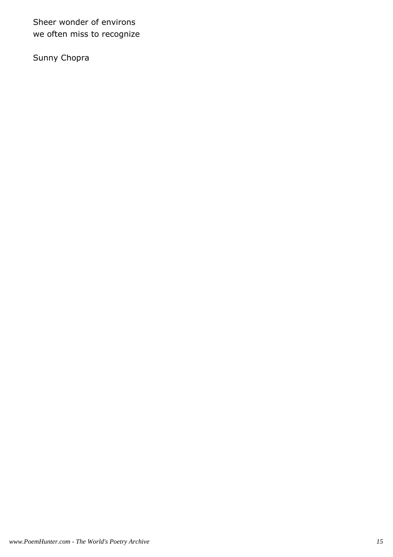Sheer wonder of environs we often miss to recognize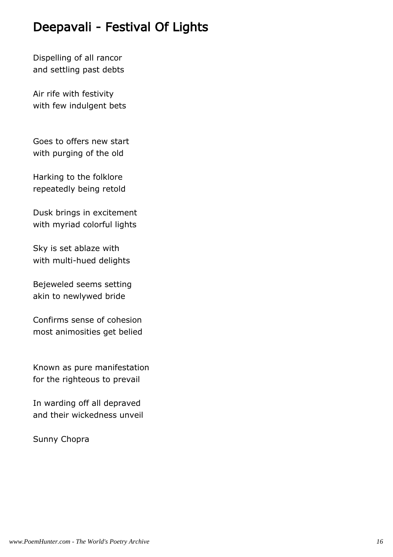# Deepavali - Festival Of Lights

Dispelling of all rancor and settling past debts

Air rife with festivity with few indulgent bets

Goes to offers new start with purging of the old

Harking to the folklore repeatedly being retold

Dusk brings in excitement with myriad colorful lights

Sky is set ablaze with with multi-hued delights

Bejeweled seems setting akin to newlywed bride

Confirms sense of cohesion most animosities get belied

Known as pure manifestation for the righteous to prevail

In warding off all depraved and their wickedness unveil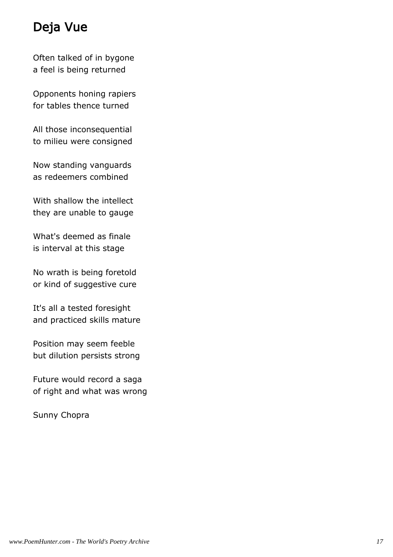# Deja Vue

Often talked of in bygone a feel is being returned

Opponents honing rapiers for tables thence turned

All those inconsequential to milieu were consigned

Now standing vanguards as redeemers combined

With shallow the intellect they are unable to gauge

What's deemed as finale is interval at this stage

No wrath is being foretold or kind of suggestive cure

It's all a tested foresight and practiced skills mature

Position may seem feeble but dilution persists strong

Future would record a saga of right and what was wrong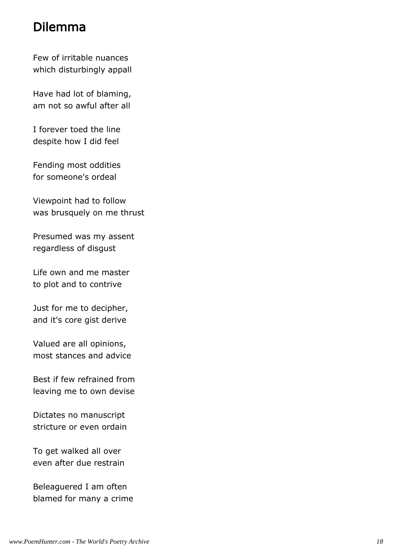# Dilemma

Few of irritable nuances which disturbingly appall

Have had lot of blaming, am not so awful after all

I forever toed the line despite how I did feel

Fending most oddities for someone's ordeal

Viewpoint had to follow was brusquely on me thrust

Presumed was my assent regardless of disgust

Life own and me master to plot and to contrive

Just for me to decipher, and it's core gist derive

Valued are all opinions, most stances and advice

Best if few refrained from leaving me to own devise

Dictates no manuscript stricture or even ordain

To get walked all over even after due restrain

Beleaguered I am often blamed for many a crime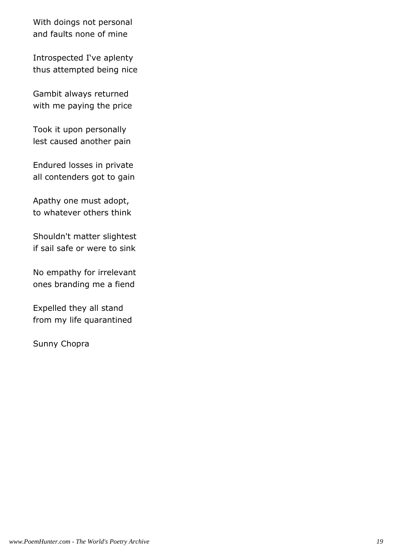With doings not personal and faults none of mine

Introspected I've aplenty thus attempted being nice

Gambit always returned with me paying the price

Took it upon personally lest caused another pain

Endured losses in private all contenders got to gain

Apathy one must adopt, to whatever others think

Shouldn't matter slightest if sail safe or were to sink

No empathy for irrelevant ones branding me a fiend

Expelled they all stand from my life quarantined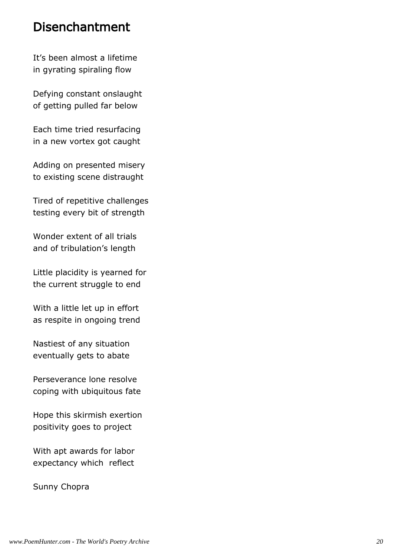#### Disenchantment

It's been almost a lifetime in gyrating spiraling flow

Defying constant onslaught of getting pulled far below

Each time tried resurfacing in a new vortex got caught

Adding on presented misery to existing scene distraught

Tired of repetitive challenges testing every bit of strength

Wonder extent of all trials and of tribulation's length

Little placidity is yearned for the current struggle to end

With a little let up in effort as respite in ongoing trend

Nastiest of any situation eventually gets to abate

Perseverance lone resolve coping with ubiquitous fate

Hope this skirmish exertion positivity goes to project

With apt awards for labor expectancy which reflect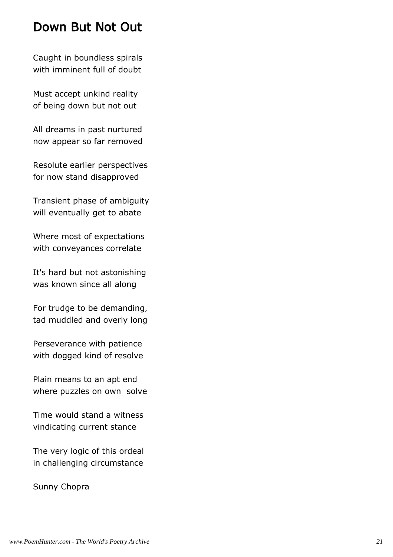# Down But Not Out

Caught in boundless spirals with imminent full of doubt

Must accept unkind reality of being down but not out

All dreams in past nurtured now appear so far removed

Resolute earlier perspectives for now stand disapproved

Transient phase of ambiguity will eventually get to abate

Where most of expectations with conveyances correlate

It's hard but not astonishing was known since all along

For trudge to be demanding, tad muddled and overly long

Perseverance with patience with dogged kind of resolve

Plain means to an apt end where puzzles on own solve

Time would stand a witness vindicating current stance

The very logic of this ordeal in challenging circumstance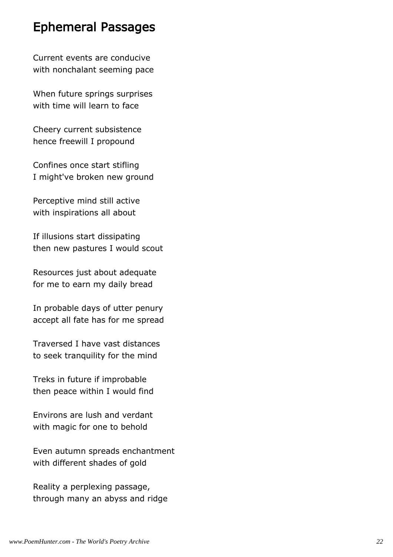# Ephemeral Passages

Current events are conducive with nonchalant seeming pace

When future springs surprises with time will learn to face

Cheery current subsistence hence freewill I propound

Confines once start stifling I might've broken new ground

Perceptive mind still active with inspirations all about

If illusions start dissipating then new pastures I would scout

Resources just about adequate for me to earn my daily bread

In probable days of utter penury accept all fate has for me spread

Traversed I have vast distances to seek tranquility for the mind

Treks in future if improbable then peace within I would find

Environs are lush and verdant with magic for one to behold

Even autumn spreads enchantment with different shades of gold

Reality a perplexing passage, through many an abyss and ridge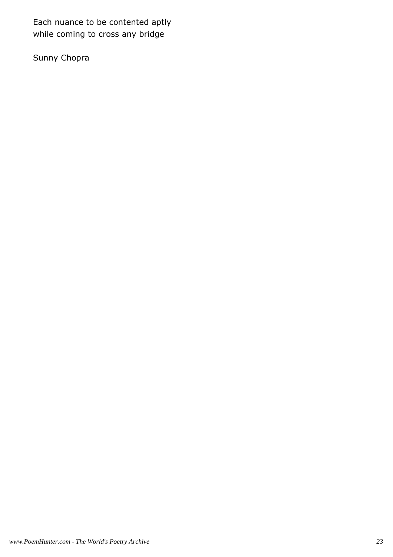Each nuance to be contented aptly while coming to cross any bridge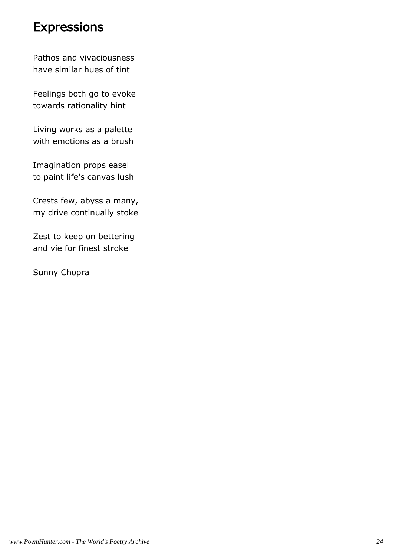#### **Expressions**

Pathos and vivaciousness have similar hues of tint

Feelings both go to evoke towards rationality hint

Living works as a palette with emotions as a brush

Imagination props easel to paint life's canvas lush

Crests few, abyss a many, my drive continually stoke

Zest to keep on bettering and vie for finest stroke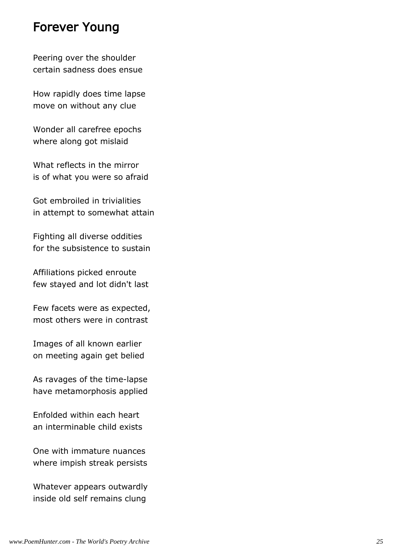#### Forever Young

Peering over the shoulder certain sadness does ensue

How rapidly does time lapse move on without any clue

Wonder all carefree epochs where along got mislaid

What reflects in the mirror is of what you were so afraid

Got embroiled in trivialities in attempt to somewhat attain

Fighting all diverse oddities for the subsistence to sustain

Affiliations picked enroute few stayed and lot didn't last

Few facets were as expected, most others were in contrast

Images of all known earlier on meeting again get belied

As ravages of the time-lapse have metamorphosis applied

Enfolded within each heart an interminable child exists

One with immature nuances where impish streak persists

Whatever appears outwardly inside old self remains clung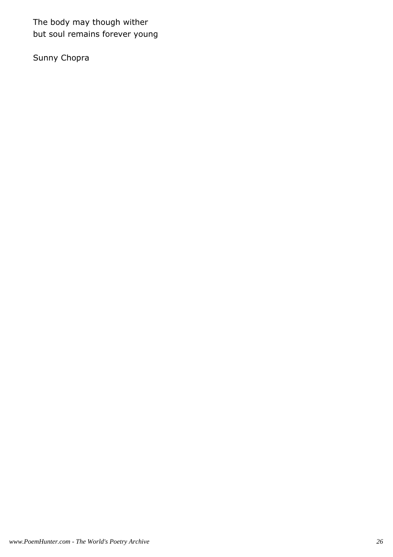The body may though wither but soul remains forever young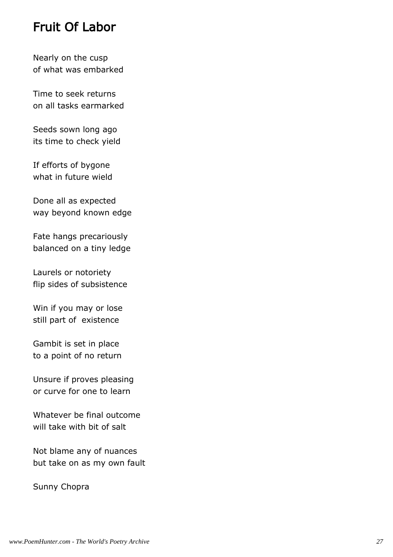# Fruit Of Labor

Nearly on the cusp of what was embarked

Time to seek returns on all tasks earmarked

Seeds sown long ago its time to check yield

If efforts of bygone what in future wield

Done all as expected way beyond known edge

Fate hangs precariously balanced on a tiny ledge

Laurels or notoriety flip sides of subsistence

Win if you may or lose still part of existence

Gambit is set in place to a point of no return

Unsure if proves pleasing or curve for one to learn

Whatever be final outcome will take with bit of salt

Not blame any of nuances but take on as my own fault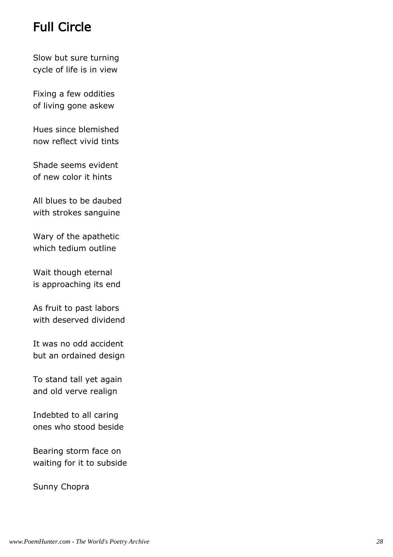# Full Circle

Slow but sure turning cycle of life is in view

Fixing a few oddities of living gone askew

Hues since blemished now reflect vivid tints

Shade seems evident of new color it hints

All blues to be daubed with strokes sanguine

Wary of the apathetic which tedium outline

Wait though eternal is approaching its end

As fruit to past labors with deserved dividend

It was no odd accident but an ordained design

To stand tall yet again and old verve realign

Indebted to all caring ones who stood beside

Bearing storm face on waiting for it to subside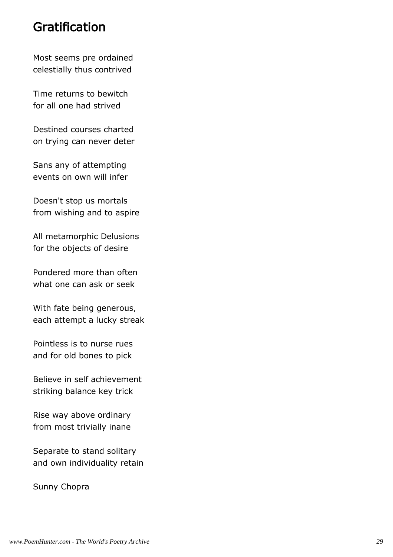#### Gratification

Most seems pre ordained celestially thus contrived

Time returns to bewitch for all one had strived

Destined courses charted on trying can never deter

Sans any of attempting events on own will infer

Doesn't stop us mortals from wishing and to aspire

All metamorphic Delusions for the objects of desire

Pondered more than often what one can ask or seek

With fate being generous, each attempt a lucky streak

Pointless is to nurse rues and for old bones to pick

Believe in self achievement striking balance key trick

Rise way above ordinary from most trivially inane

Separate to stand solitary and own individuality retain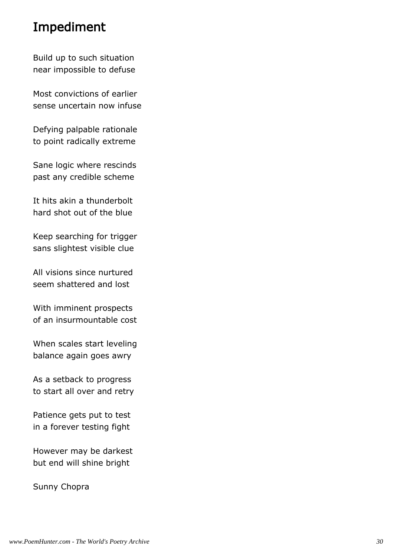# Impediment

Build up to such situation near impossible to defuse

Most convictions of earlier sense uncertain now infuse

Defying palpable rationale to point radically extreme

Sane logic where rescinds past any credible scheme

It hits akin a thunderbolt hard shot out of the blue

Keep searching for trigger sans slightest visible clue

All visions since nurtured seem shattered and lost

With imminent prospects of an insurmountable cost

When scales start leveling balance again goes awry

As a setback to progress to start all over and retry

Patience gets put to test in a forever testing fight

However may be darkest but end will shine bright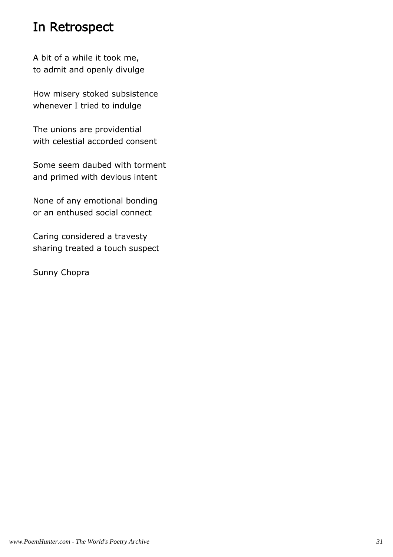# In Retrospect

A bit of a while it took me, to admit and openly divulge

How misery stoked subsistence whenever I tried to indulge

The unions are providential with celestial accorded consent

Some seem daubed with torment and primed with devious intent

None of any emotional bonding or an enthused social connect

Caring considered a travesty sharing treated a touch suspect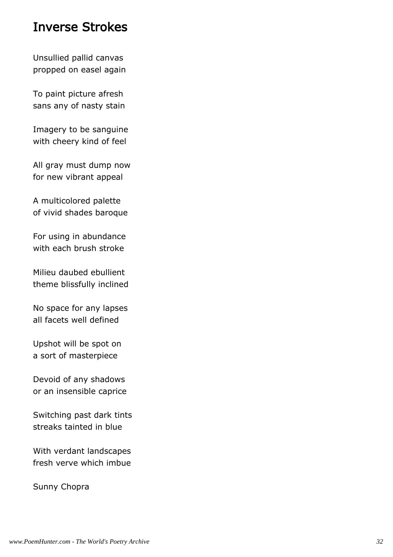#### Inverse Strokes

Unsullied pallid canvas propped on easel again

To paint picture afresh sans any of nasty stain

Imagery to be sanguine with cheery kind of feel

All gray must dump now for new vibrant appeal

A multicolored palette of vivid shades baroque

For using in abundance with each brush stroke

Milieu daubed ebullient theme blissfully inclined

No space for any lapses all facets well defined

Upshot will be spot on a sort of masterpiece

Devoid of any shadows or an insensible caprice

Switching past dark tints streaks tainted in blue

With verdant landscapes fresh verve which imbue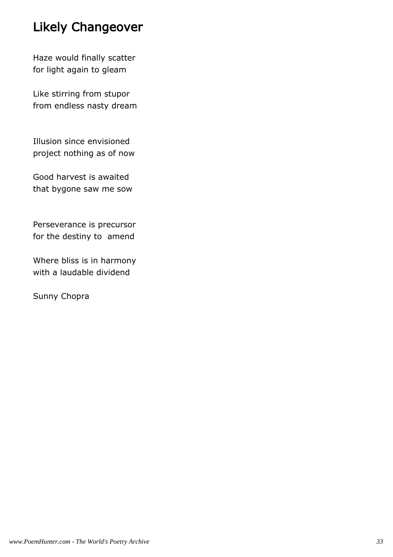# Likely Changeover

Haze would finally scatter for light again to gleam

Like stirring from stupor from endless nasty dream

Illusion since envisioned project nothing as of now

Good harvest is awaited that bygone saw me sow

Perseverance is precursor for the destiny to amend

Where bliss is in harmony with a laudable dividend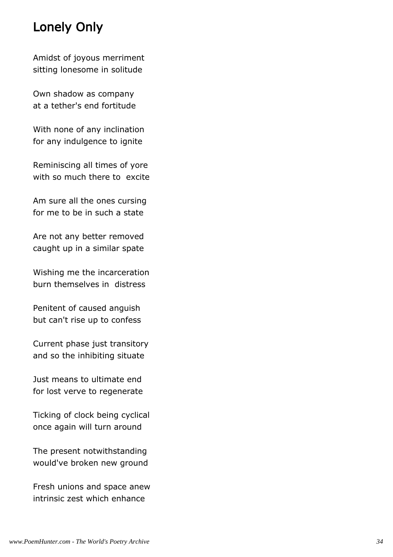# Lonely Only

Amidst of joyous merriment sitting lonesome in solitude

Own shadow as company at a tether's end fortitude

With none of any inclination for any indulgence to ignite

Reminiscing all times of yore with so much there to excite

Am sure all the ones cursing for me to be in such a state

Are not any better removed caught up in a similar spate

Wishing me the incarceration burn themselves in distress

Penitent of caused anguish but can't rise up to confess

Current phase just transitory and so the inhibiting situate

Just means to ultimate end for lost verve to regenerate

Ticking of clock being cyclical once again will turn around

The present notwithstanding would've broken new ground

Fresh unions and space anew intrinsic zest which enhance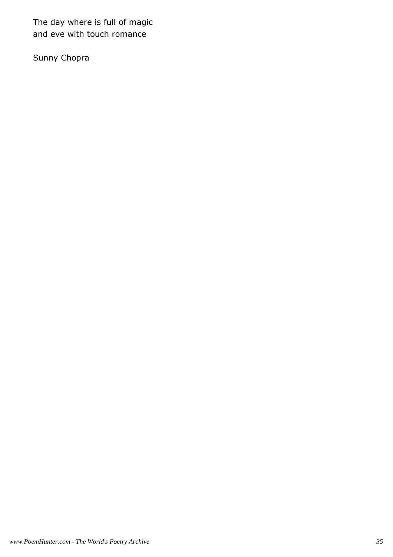The day where is full of magic and eve with touch romance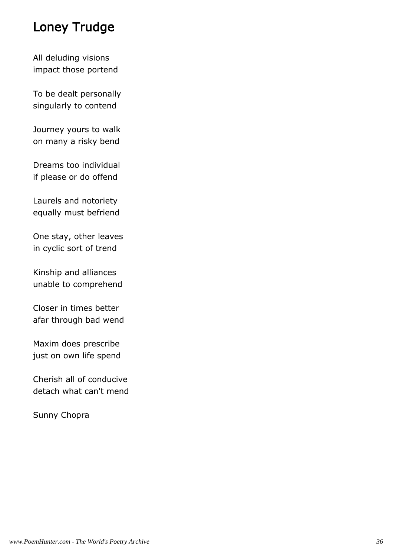## Loney Trudge

All deluding visions impact those portend

To be dealt personally singularly to contend

Journey yours to walk on many a risky bend

Dreams too individual if please or do offend

Laurels and notoriety equally must befriend

One stay, other leaves in cyclic sort of trend

Kinship and alliances unable to comprehend

Closer in times better afar through bad wend

Maxim does prescribe just on own life spend

Cherish all of conducive detach what can't mend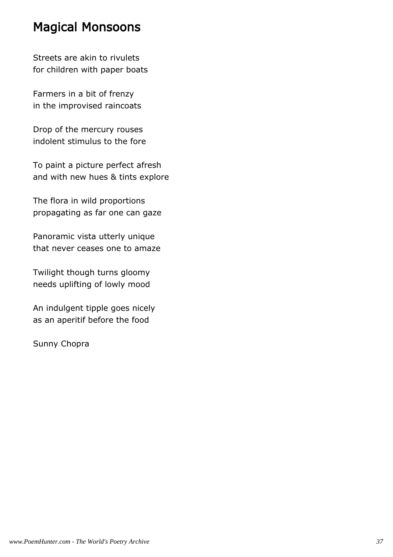### Magical Monsoons

Streets are akin to rivulets for children with paper boats

Farmers in a bit of frenzy in the improvised raincoats

Drop of the mercury rouses indolent stimulus to the fore

To paint a picture perfect afresh and with new hues & tints explore

The flora in wild proportions propagating as far one can gaze

Panoramic vista utterly unique that never ceases one to amaze

Twilight though turns gloomy needs uplifting of lowly mood

An indulgent tipple goes nicely as an aperitif before the food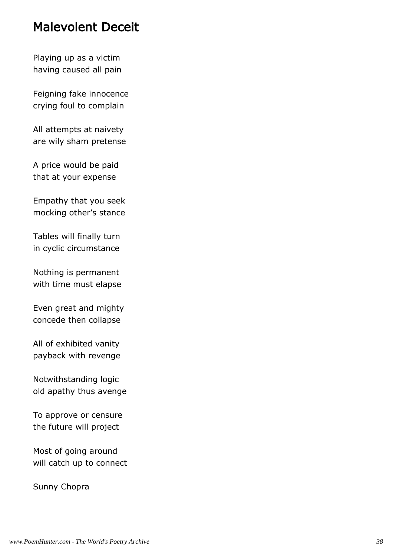#### Malevolent Deceit

Playing up as a victim having caused all pain

Feigning fake innocence crying foul to complain

All attempts at naivety are wily sham pretense

A price would be paid that at your expense

Empathy that you seek mocking other's stance

Tables will finally turn in cyclic circumstance

Nothing is permanent with time must elapse

Even great and mighty concede then collapse

All of exhibited vanity payback with revenge

Notwithstanding logic old apathy thus avenge

To approve or censure the future will project

Most of going around will catch up to connect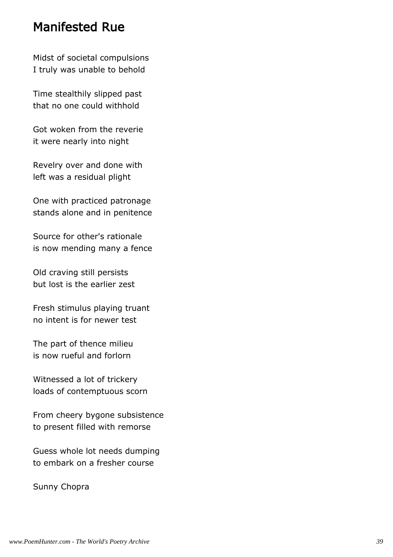#### Manifested Rue

Midst of societal compulsions I truly was unable to behold

Time stealthily slipped past that no one could withhold

Got woken from the reverie it were nearly into night

Revelry over and done with left was a residual plight

One with practiced patronage stands alone and in penitence

Source for other's rationale is now mending many a fence

Old craving still persists but lost is the earlier zest

Fresh stimulus playing truant no intent is for newer test

The part of thence milieu is now rueful and forlorn

Witnessed a lot of trickery loads of contemptuous scorn

From cheery bygone subsistence to present filled with remorse

Guess whole lot needs dumping to embark on a fresher course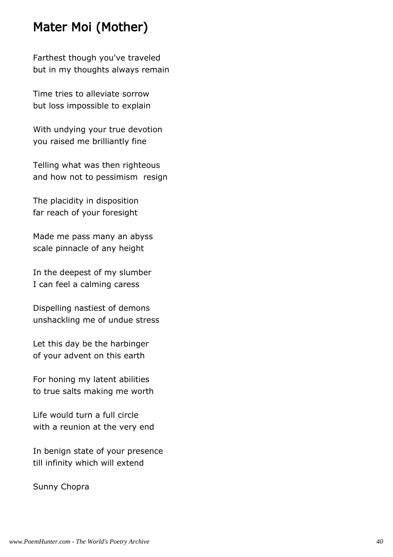## Mater Moi (Mother)

Farthest though you've traveled but in my thoughts always remain

Time tries to alleviate sorrow but loss impossible to explain

With undying your true devotion you raised me brilliantly fine

Telling what was then righteous and how not to pessimism resign

The placidity in disposition far reach of your foresight

Made me pass many an abyss scale pinnacle of any height

In the deepest of my slumber I can feel a calming caress

Dispelling nastiest of demons unshackling me of undue stress

Let this day be the harbinger of your advent on this earth

For honing my latent abilities to true salts making me worth

Life would turn a full circle with a reunion at the very end

In benign state of your presence till infinity which will extend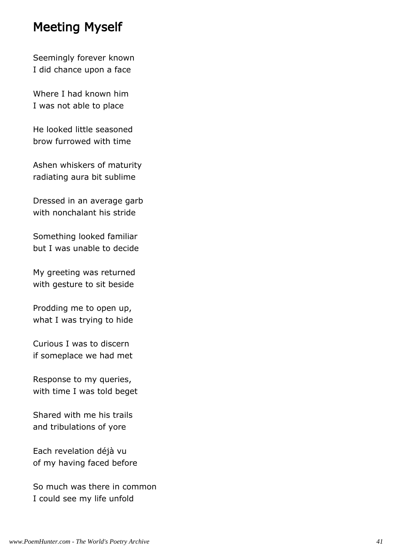### Meeting Myself

Seemingly forever known I did chance upon a face

Where I had known him I was not able to place

He looked little seasoned brow furrowed with time

Ashen whiskers of maturity radiating aura bit sublime

Dressed in an average garb with nonchalant his stride

Something looked familiar but I was unable to decide

My greeting was returned with gesture to sit beside

Prodding me to open up, what I was trying to hide

Curious I was to discern if someplace we had met

Response to my queries, with time I was told beget

Shared with me his trails and tribulations of yore

Each revelation déjà vu of my having faced before

So much was there in common I could see my life unfold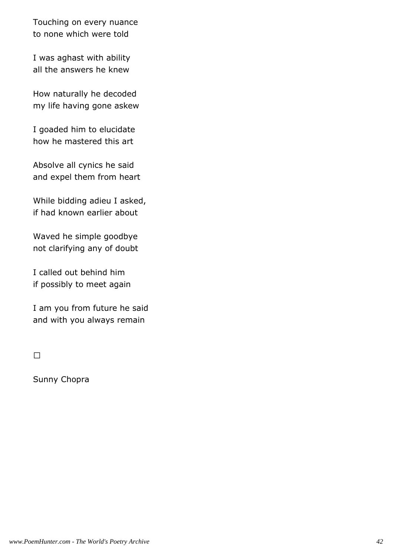Touching on every nuance to none which were told

I was aghast with ability all the answers he knew

How naturally he decoded my life having gone askew

I goaded him to elucidate how he mastered this art

Absolve all cynics he said and expel them from heart

While bidding adieu I asked, if had known earlier about

Waved he simple goodbye not clarifying any of doubt

I called out behind him if possibly to meet again

I am you from future he said and with you always remain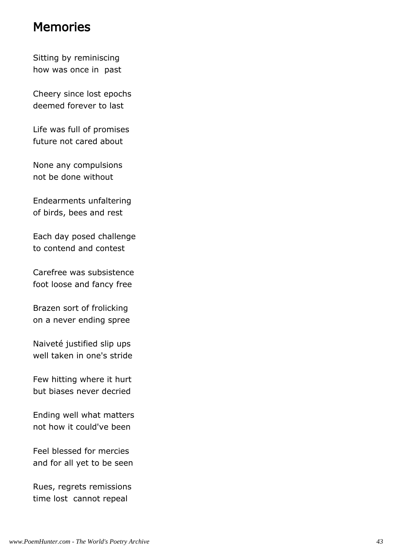#### Memories

Sitting by reminiscing how was once in past

Cheery since lost epochs deemed forever to last

Life was full of promises future not cared about

None any compulsions not be done without

Endearments unfaltering of birds, bees and rest

Each day posed challenge to contend and contest

Carefree was subsistence foot loose and fancy free

Brazen sort of frolicking on a never ending spree

Naiveté justified slip ups well taken in one's stride

Few hitting where it hurt but biases never decried

Ending well what matters not how it could've been

Feel blessed for mercies and for all yet to be seen

Rues, regrets remissions time lost cannot repeal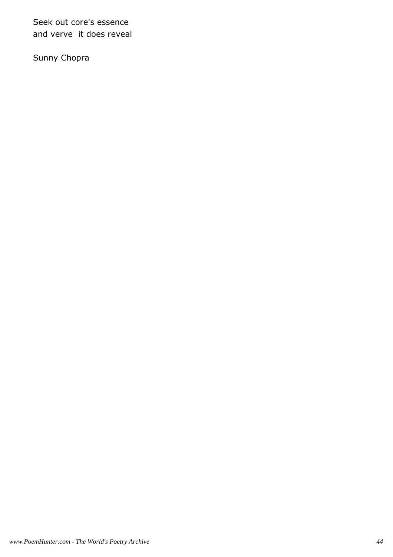Seek out core's essence and verve it does reveal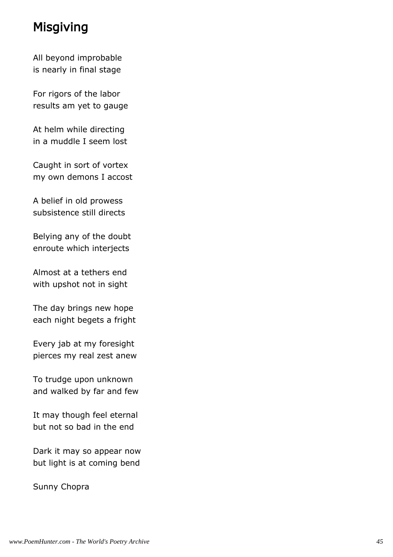## Misgiving

All beyond improbable is nearly in final stage

For rigors of the labor results am yet to gauge

At helm while directing in a muddle I seem lost

Caught in sort of vortex my own demons I accost

A belief in old prowess subsistence still directs

Belying any of the doubt enroute which interjects

Almost at a tethers end with upshot not in sight

The day brings new hope each night begets a fright

Every jab at my foresight pierces my real zest anew

To trudge upon unknown and walked by far and few

It may though feel eternal but not so bad in the end

Dark it may so appear now but light is at coming bend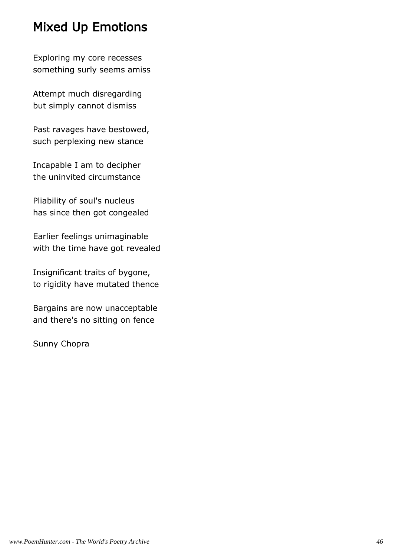# Mixed Up Emotions

Exploring my core recesses something surly seems amiss

Attempt much disregarding but simply cannot dismiss

Past ravages have bestowed, such perplexing new stance

Incapable I am to decipher the uninvited circumstance

Pliability of soul's nucleus has since then got congealed

Earlier feelings unimaginable with the time have got revealed

Insignificant traits of bygone, to rigidity have mutated thence

Bargains are now unacceptable and there's no sitting on fence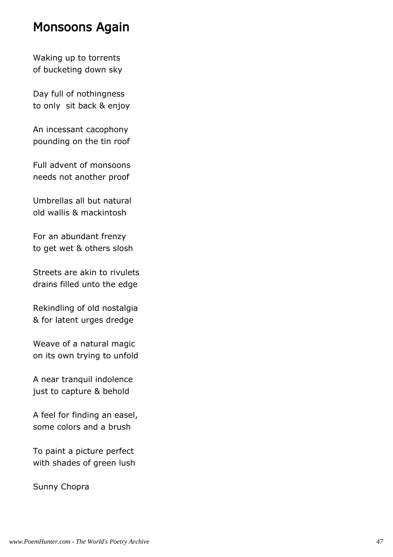#### Monsoons Again

Waking up to torrents of bucketing down sky

Day full of nothingness to only sit back & enjoy

An incessant cacophony pounding on the tin roof

Full advent of monsoons needs not another proof

Umbrellas all but natural old wallis & mackintosh

For an abundant frenzy to get wet & others slosh

Streets are akin to rivulets drains filled unto the edge

Rekindling of old nostalgia & for latent urges dredge

Weave of a natural magic on its own trying to unfold

A near tranquil indolence just to capture & behold

A feel for finding an easel, some colors and a brush

To paint a picture perfect with shades of green lush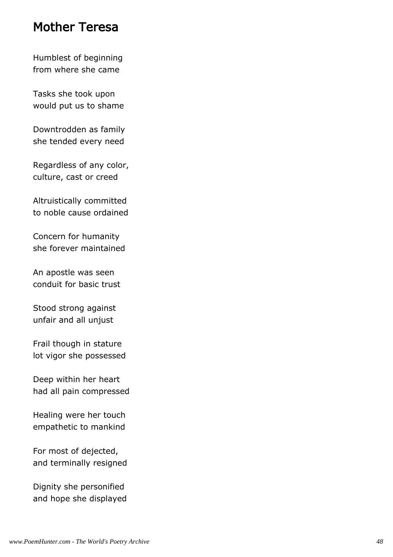#### Mother Teresa

Humblest of beginning from where she came

Tasks she took upon would put us to shame

Downtrodden as family she tended every need

Regardless of any color, culture, cast or creed

Altruistically committed to noble cause ordained

Concern for humanity she forever maintained

An apostle was seen conduit for basic trust

Stood strong against unfair and all unjust

Frail though in stature lot vigor she possessed

Deep within her heart had all pain compressed

Healing were her touch empathetic to mankind

For most of dejected, and terminally resigned

Dignity she personified and hope she displayed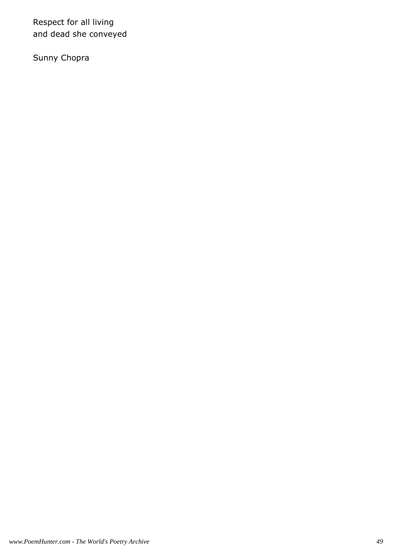Respect for all living and dead she conveyed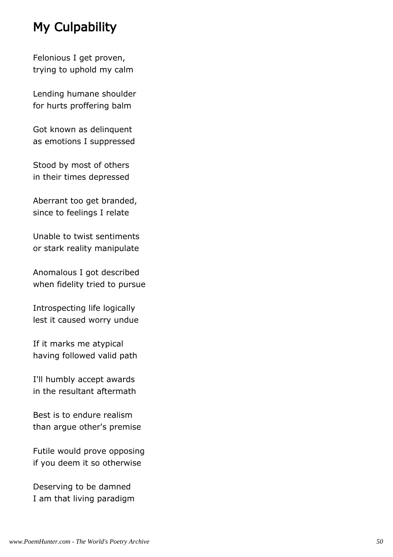# My Culpability

Felonious I get proven, trying to uphold my calm

Lending humane shoulder for hurts proffering balm

Got known as delinquent as emotions I suppressed

Stood by most of others in their times depressed

Aberrant too get branded, since to feelings I relate

Unable to twist sentiments or stark reality manipulate

Anomalous I got described when fidelity tried to pursue

Introspecting life logically lest it caused worry undue

If it marks me atypical having followed valid path

I'll humbly accept awards in the resultant aftermath

Best is to endure realism than argue other's premise

Futile would prove opposing if you deem it so otherwise

Deserving to be damned I am that living paradigm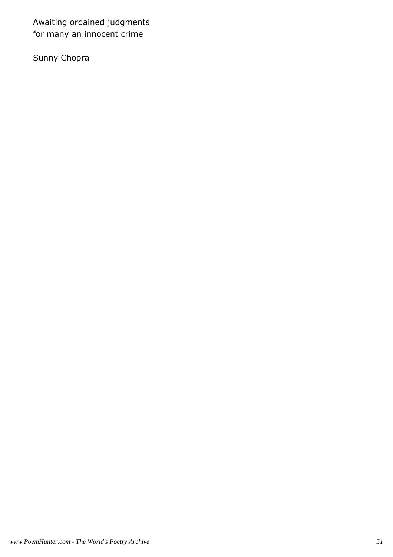Awaiting ordained judgments for many an innocent crime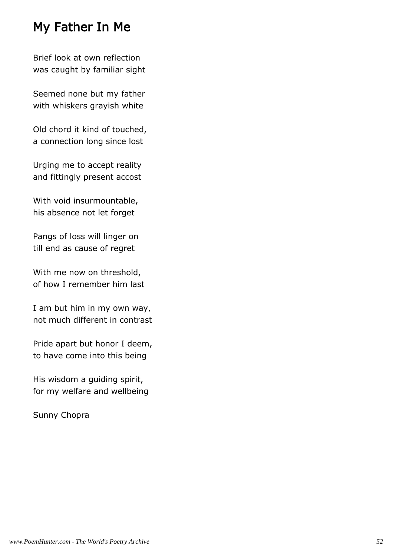## My Father In Me

Brief look at own reflection was caught by familiar sight

Seemed none but my father with whiskers grayish white

Old chord it kind of touched, a connection long since lost

Urging me to accept reality and fittingly present accost

With void insurmountable, his absence not let forget

Pangs of loss will linger on till end as cause of regret

With me now on threshold, of how I remember him last

I am but him in my own way, not much different in contrast

Pride apart but honor I deem, to have come into this being

His wisdom a guiding spirit, for my welfare and wellbeing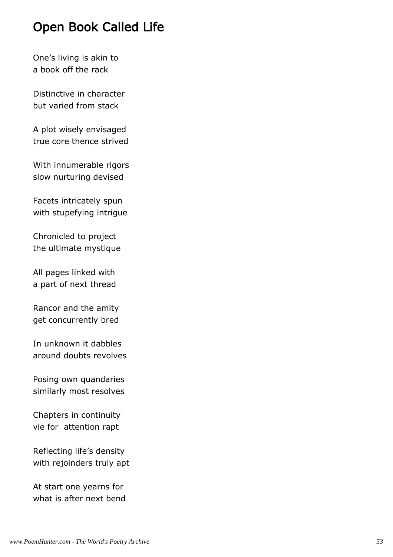## Open Book Called Life

One's living is akin to a book off the rack

Distinctive in character but varied from stack

A plot wisely envisaged true core thence strived

With innumerable rigors slow nurturing devised

Facets intricately spun with stupefying intrigue

Chronicled to project the ultimate mystique

All pages linked with a part of next thread

Rancor and the amity get concurrently bred

In unknown it dabbles around doubts revolves

Posing own quandaries similarly most resolves

Chapters in continuity vie for attention rapt

Reflecting life's density with rejoinders truly apt

At start one yearns for what is after next bend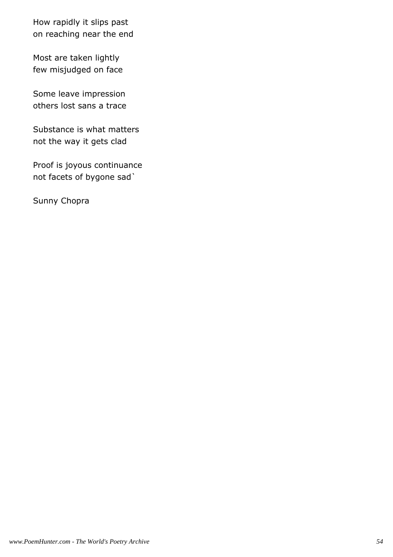How rapidly it slips past on reaching near the end

Most are taken lightly few misjudged on face

Some leave impression others lost sans a trace

Substance is what matters not the way it gets clad

Proof is joyous continuance not facets of bygone sad`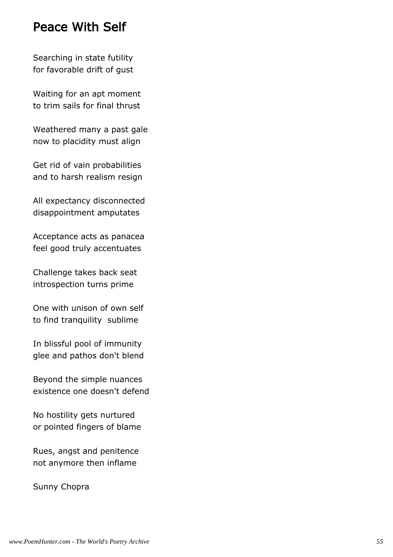#### Peace With Self

Searching in state futility for favorable drift of gust

Waiting for an apt moment to trim sails for final thrust

Weathered many a past gale now to placidity must align

Get rid of vain probabilities and to harsh realism resign

All expectancy disconnected disappointment amputates

Acceptance acts as panacea feel good truly accentuates

Challenge takes back seat introspection turns prime

One with unison of own self to find tranquility sublime

In blissful pool of immunity glee and pathos don't blend

Beyond the simple nuances existence one doesn't defend

No hostility gets nurtured or pointed fingers of blame

Rues, angst and penitence not anymore then inflame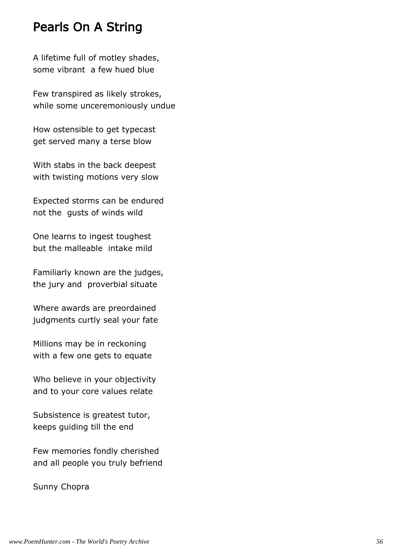#### Pearls On A String

A lifetime full of motley shades, some vibrant a few hued blue

Few transpired as likely strokes, while some unceremoniously undue

How ostensible to get typecast get served many a terse blow

With stabs in the back deepest with twisting motions very slow

Expected storms can be endured not the gusts of winds wild

One learns to ingest toughest but the malleable intake mild

Familiarly known are the judges, the jury and proverbial situate

Where awards are preordained judgments curtly seal your fate

Millions may be in reckoning with a few one gets to equate

Who believe in your objectivity and to your core values relate

Subsistence is greatest tutor, keeps guiding till the end

Few memories fondly cherished and all people you truly befriend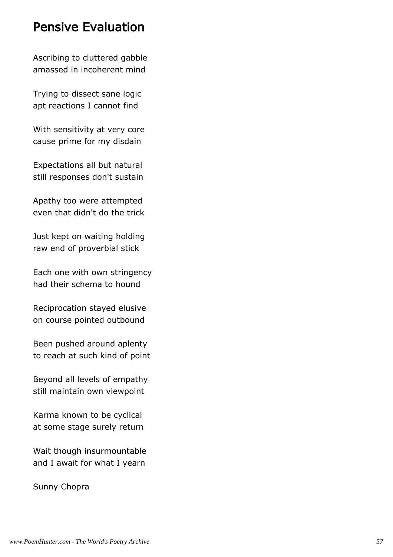#### Pensive Evaluation

Ascribing to cluttered gabble amassed in incoherent mind

Trying to dissect sane logic apt reactions I cannot find

With sensitivity at very core cause prime for my disdain

Expectations all but natural still responses don't sustain

Apathy too were attempted even that didn't do the trick

Just kept on waiting holding raw end of proverbial stick

Each one with own stringency had their schema to hound

Reciprocation stayed elusive on course pointed outbound

Been pushed around aplenty to reach at such kind of point

Beyond all levels of empathy still maintain own viewpoint

Karma known to be cyclical at some stage surely return

Wait though insurmountable and I await for what I yearn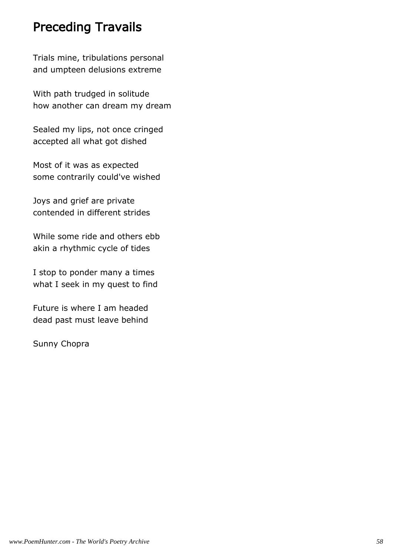## Preceding Travails

Trials mine, tribulations personal and umpteen delusions extreme

With path trudged in solitude how another can dream my dream

Sealed my lips, not once cringed accepted all what got dished

Most of it was as expected some contrarily could've wished

Joys and grief are private contended in different strides

While some ride and others ebb akin a rhythmic cycle of tides

I stop to ponder many a times what I seek in my quest to find

Future is where I am headed dead past must leave behind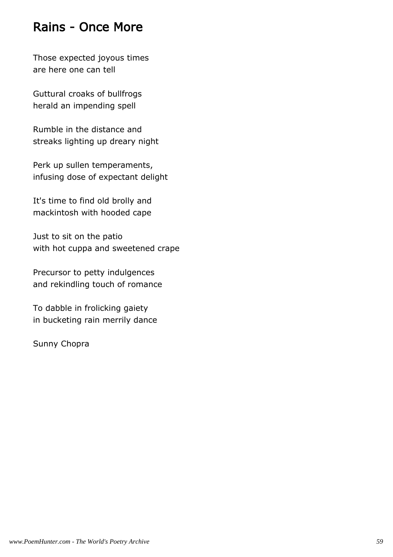### Rains - Once More

Those expected joyous times are here one can tell

Guttural croaks of bullfrogs herald an impending spell

Rumble in the distance and streaks lighting up dreary night

Perk up sullen temperaments, infusing dose of expectant delight

It's time to find old brolly and mackintosh with hooded cape

Just to sit on the patio with hot cuppa and sweetened crape

Precursor to petty indulgences and rekindling touch of romance

To dabble in frolicking gaiety in bucketing rain merrily dance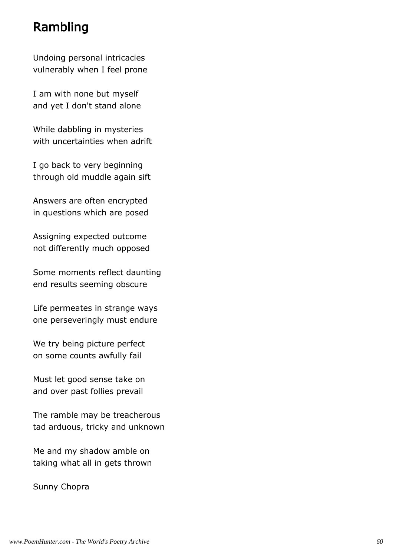## Rambling

Undoing personal intricacies vulnerably when I feel prone

I am with none but myself and yet I don't stand alone

While dabbling in mysteries with uncertainties when adrift

I go back to very beginning through old muddle again sift

Answers are often encrypted in questions which are posed

Assigning expected outcome not differently much opposed

Some moments reflect daunting end results seeming obscure

Life permeates in strange ways one perseveringly must endure

We try being picture perfect on some counts awfully fail

Must let good sense take on and over past follies prevail

The ramble may be treacherous tad arduous, tricky and unknown

Me and my shadow amble on taking what all in gets thrown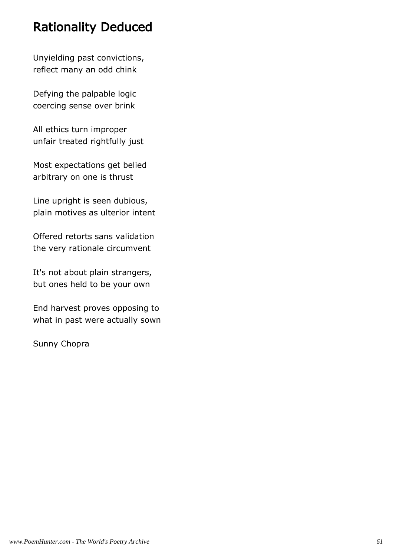## Rationality Deduced

Unyielding past convictions, reflect many an odd chink

Defying the palpable logic coercing sense over brink

All ethics turn improper unfair treated rightfully just

Most expectations get belied arbitrary on one is thrust

Line upright is seen dubious, plain motives as ulterior intent

Offered retorts sans validation the very rationale circumvent

It's not about plain strangers, but ones held to be your own

End harvest proves opposing to what in past were actually sown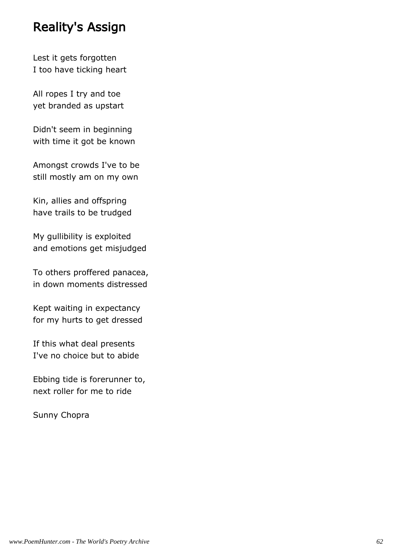### Reality's Assign

Lest it gets forgotten I too have ticking heart

All ropes I try and toe yet branded as upstart

Didn't seem in beginning with time it got be known

Amongst crowds I've to be still mostly am on my own

Kin, allies and offspring have trails to be trudged

My gullibility is exploited and emotions get misjudged

To others proffered panacea, in down moments distressed

Kept waiting in expectancy for my hurts to get dressed

If this what deal presents I've no choice but to abide

Ebbing tide is forerunner to, next roller for me to ride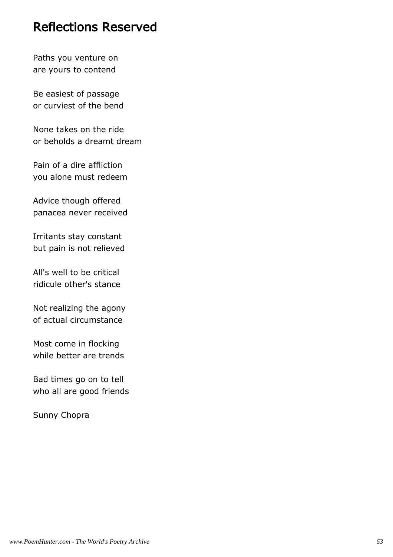#### Reflections Reserved

Paths you venture on are yours to contend

Be easiest of passage or curviest of the bend

None takes on the ride or beholds a dreamt dream

Pain of a dire affliction you alone must redeem

Advice though offered panacea never received

Irritants stay constant but pain is not relieved

All's well to be critical ridicule other's stance

Not realizing the agony of actual circumstance

Most come in flocking while better are trends

Bad times go on to tell who all are good friends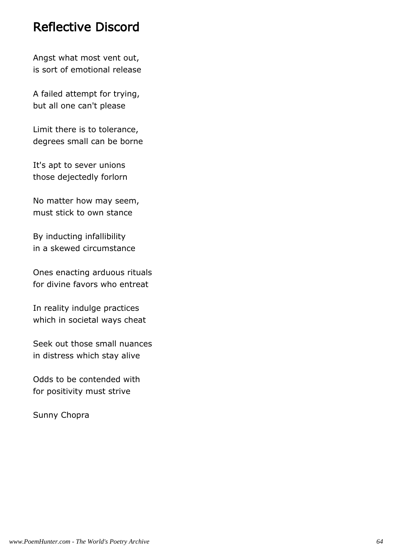### Reflective Discord

Angst what most vent out, is sort of emotional release

A failed attempt for trying, but all one can't please

Limit there is to tolerance, degrees small can be borne

It's apt to sever unions those dejectedly forlorn

No matter how may seem, must stick to own stance

By inducting infallibility in a skewed circumstance

Ones enacting arduous rituals for divine favors who entreat

In reality indulge practices which in societal ways cheat

Seek out those small nuances in distress which stay alive

Odds to be contended with for positivity must strive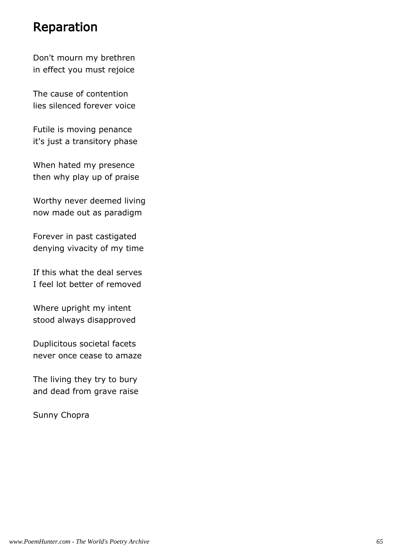#### Reparation

Don't mourn my brethren in effect you must rejoice

The cause of contention lies silenced forever voice

Futile is moving penance it's just a transitory phase

When hated my presence then why play up of praise

Worthy never deemed living now made out as paradigm

Forever in past castigated denying vivacity of my time

If this what the deal serves I feel lot better of removed

Where upright my intent stood always disapproved

Duplicitous societal facets never once cease to amaze

The living they try to bury and dead from grave raise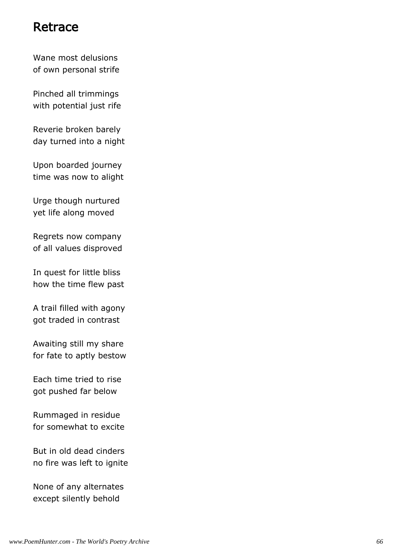#### Retrace

Wane most delusions of own personal strife

Pinched all trimmings with potential just rife

Reverie broken barely day turned into a night

Upon boarded journey time was now to alight

Urge though nurtured yet life along moved

Regrets now company of all values disproved

In quest for little bliss how the time flew past

A trail filled with agony got traded in contrast

Awaiting still my share for fate to aptly bestow

Each time tried to rise got pushed far below

Rummaged in residue for somewhat to excite

But in old dead cinders no fire was left to ignite

None of any alternates except silently behold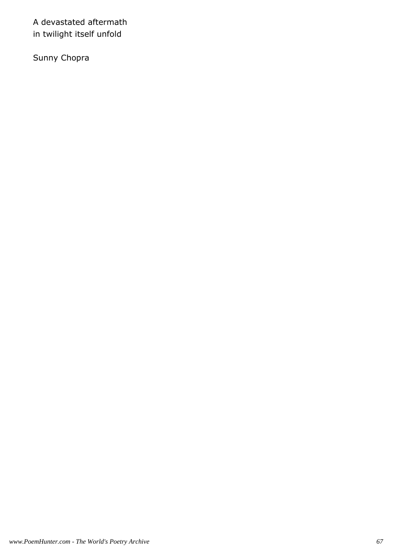A devastated aftermath in twilight itself unfold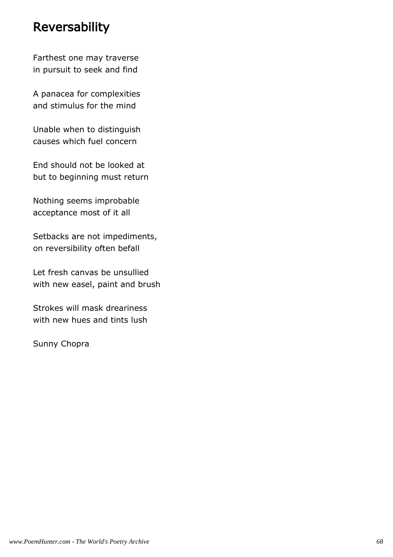### Reversability

Farthest one may traverse in pursuit to seek and find

A panacea for complexities and stimulus for the mind

Unable when to distinguish causes which fuel concern

End should not be looked at but to beginning must return

Nothing seems improbable acceptance most of it all

Setbacks are not impediments, on reversibility often befall

Let fresh canvas be unsullied with new easel, paint and brush

Strokes will mask dreariness with new hues and tints lush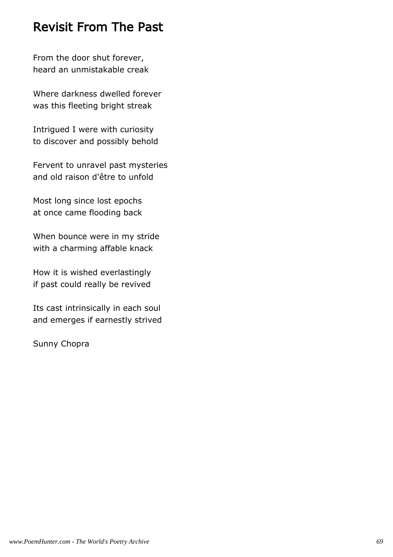### Revisit From The Past

From the door shut forever, heard an unmistakable creak

Where darkness dwelled forever was this fleeting bright streak

Intrigued I were with curiosity to discover and possibly behold

Fervent to unravel past mysteries and old raison d'être to unfold

Most long since lost epochs at once came flooding back

When bounce were in my stride with a charming affable knack

How it is wished everlastingly if past could really be revived

Its cast intrinsically in each soul and emerges if earnestly strived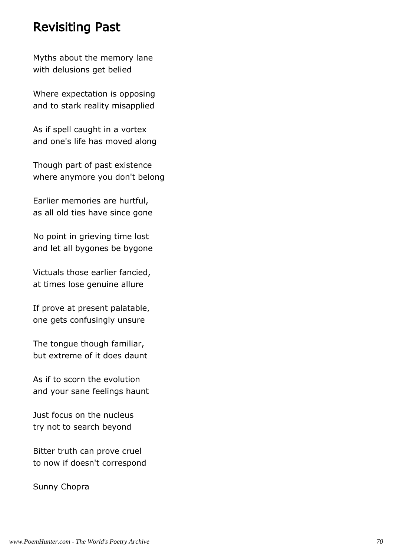#### Revisiting Past

Myths about the memory lane with delusions get belied

Where expectation is opposing and to stark reality misapplied

As if spell caught in a vortex and one's life has moved along

Though part of past existence where anymore you don't belong

Earlier memories are hurtful, as all old ties have since gone

No point in grieving time lost and let all bygones be bygone

Victuals those earlier fancied, at times lose genuine allure

If prove at present palatable, one gets confusingly unsure

The tongue though familiar, but extreme of it does daunt

As if to scorn the evolution and your sane feelings haunt

Just focus on the nucleus try not to search beyond

Bitter truth can prove cruel to now if doesn't correspond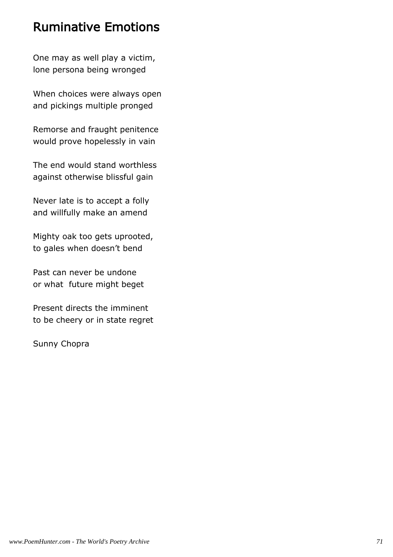## Ruminative Emotions

One may as well play a victim, lone persona being wronged

When choices were always open and pickings multiple pronged

Remorse and fraught penitence would prove hopelessly in vain

The end would stand worthless against otherwise blissful gain

Never late is to accept a folly and willfully make an amend

Mighty oak too gets uprooted, to gales when doesn't bend

Past can never be undone or what future might beget

Present directs the imminent to be cheery or in state regret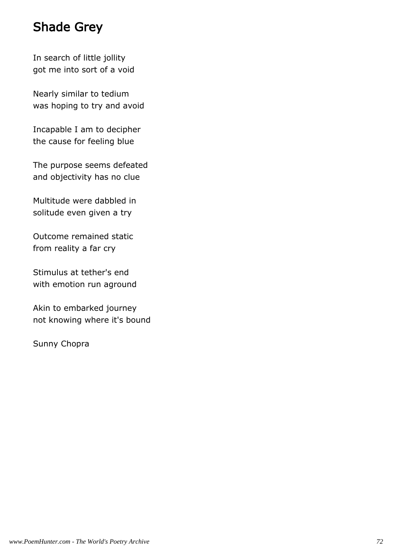# Shade Grey

In search of little jollity got me into sort of a void

Nearly similar to tedium was hoping to try and avoid

Incapable I am to decipher the cause for feeling blue

The purpose seems defeated and objectivity has no clue

Multitude were dabbled in solitude even given a try

Outcome remained static from reality a far cry

Stimulus at tether's end with emotion run aground

Akin to embarked journey not knowing where it's bound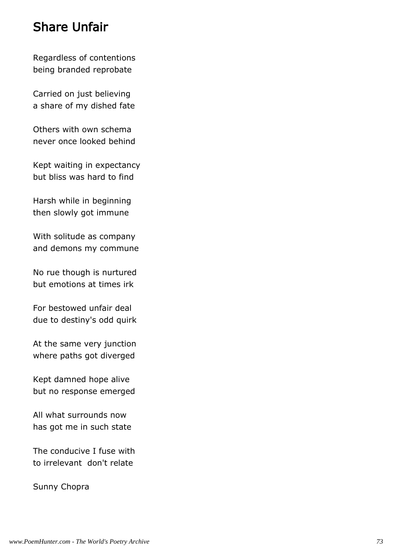#### Share Unfair

Regardless of contentions being branded reprobate

Carried on just believing a share of my dished fate

Others with own schema never once looked behind

Kept waiting in expectancy but bliss was hard to find

Harsh while in beginning then slowly got immune

With solitude as company and demons my commune

No rue though is nurtured but emotions at times irk

For bestowed unfair deal due to destiny's odd quirk

At the same very junction where paths got diverged

Kept damned hope alive but no response emerged

All what surrounds now has got me in such state

The conducive I fuse with to irrelevant don't relate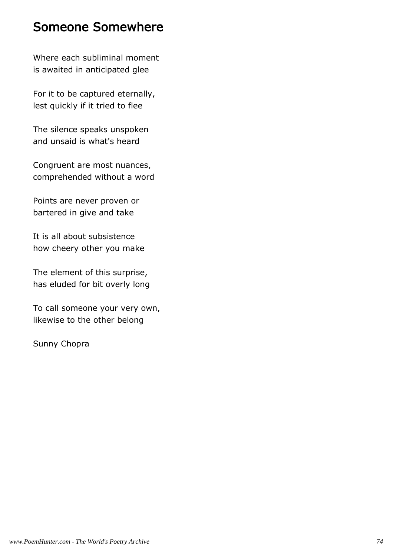#### Someone Somewhere

Where each subliminal moment is awaited in anticipated glee

For it to be captured eternally, lest quickly if it tried to flee

The silence speaks unspoken and unsaid is what's heard

Congruent are most nuances, comprehended without a word

Points are never proven or bartered in give and take

It is all about subsistence how cheery other you make

The element of this surprise, has eluded for bit overly long

To call someone your very own, likewise to the other belong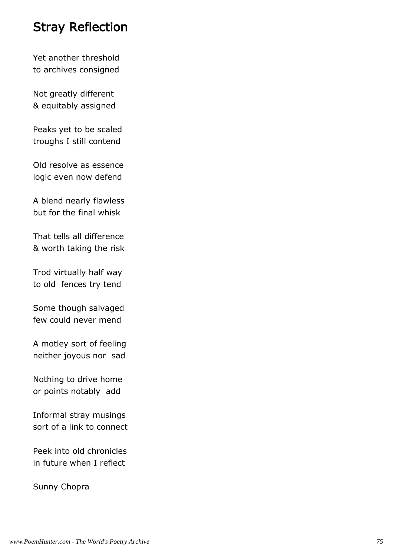#### Stray Reflection

Yet another threshold to archives consigned

Not greatly different & equitably assigned

Peaks yet to be scaled troughs I still contend

Old resolve as essence logic even now defend

A blend nearly flawless but for the final whisk

That tells all difference & worth taking the risk

Trod virtually half way to old fences try tend

Some though salvaged few could never mend

A motley sort of feeling neither joyous nor sad

Nothing to drive home or points notably add

Informal stray musings sort of a link to connect

Peek into old chronicles in future when I reflect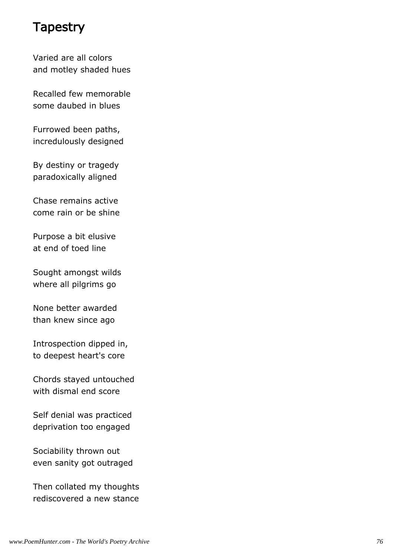#### **Tapestry**

Varied are all colors and motley shaded hues

Recalled few memorable some daubed in blues

Furrowed been paths, incredulously designed

By destiny or tragedy paradoxically aligned

Chase remains active come rain or be shine

Purpose a bit elusive at end of toed line

Sought amongst wilds where all pilgrims go

None better awarded than knew since ago

Introspection dipped in, to deepest heart's core

Chords stayed untouched with dismal end score

Self denial was practiced deprivation too engaged

Sociability thrown out even sanity got outraged

Then collated my thoughts rediscovered a new stance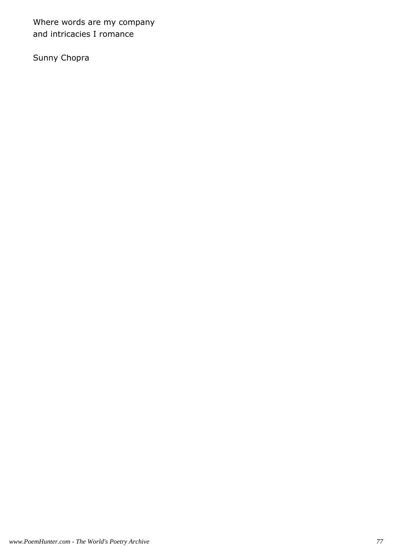Where words are my company and intricacies I romance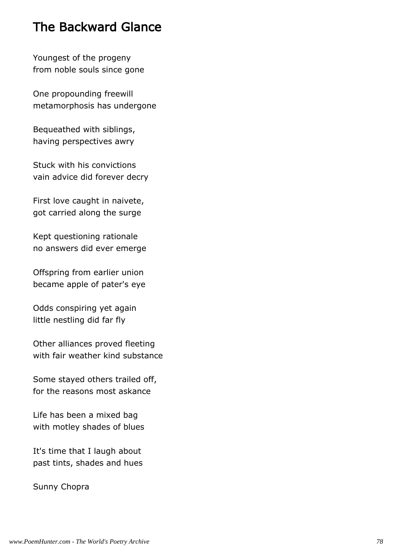## The Backward Glance

Youngest of the progeny from noble souls since gone

One propounding freewill metamorphosis has undergone

Bequeathed with siblings, having perspectives awry

Stuck with his convictions vain advice did forever decry

First love caught in naivete, got carried along the surge

Kept questioning rationale no answers did ever emerge

Offspring from earlier union became apple of pater's eye

Odds conspiring yet again little nestling did far fly

Other alliances proved fleeting with fair weather kind substance

Some stayed others trailed off, for the reasons most askance

Life has been a mixed bag with motley shades of blues

It's time that I laugh about past tints, shades and hues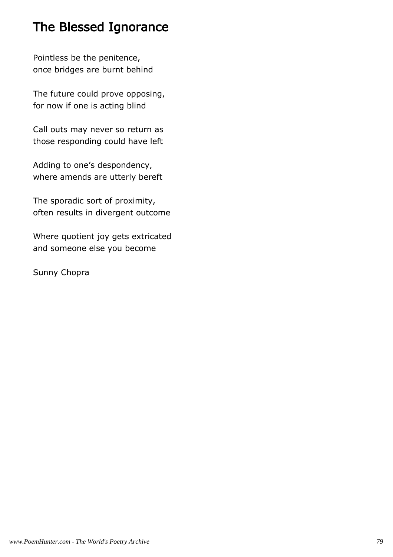# The Blessed Ignorance

Pointless be the penitence, once bridges are burnt behind

The future could prove opposing, for now if one is acting blind

Call outs may never so return as those responding could have left

Adding to one's despondency, where amends are utterly bereft

The sporadic sort of proximity, often results in divergent outcome

Where quotient joy gets extricated and someone else you become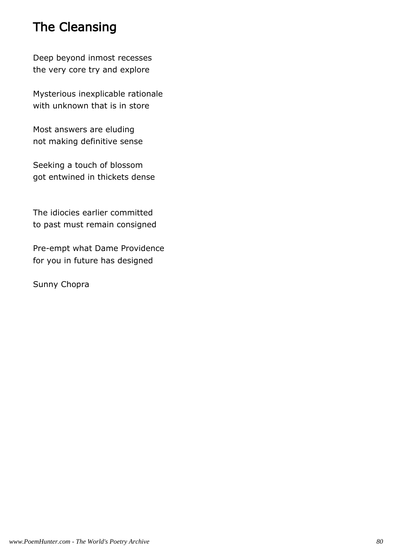# The Cleansing

Deep beyond inmost recesses the very core try and explore

Mysterious inexplicable rationale with unknown that is in store

Most answers are eluding not making definitive sense

Seeking a touch of blossom got entwined in thickets dense

The idiocies earlier committed to past must remain consigned

Pre-empt what Dame Providence for you in future has designed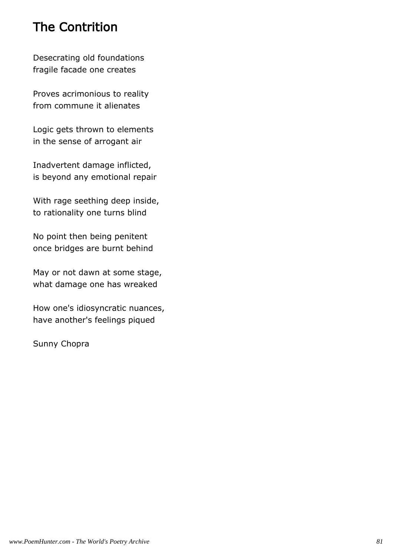# The Contrition

Desecrating old foundations fragile facade one creates

Proves acrimonious to reality from commune it alienates

Logic gets thrown to elements in the sense of arrogant air

Inadvertent damage inflicted, is beyond any emotional repair

With rage seething deep inside, to rationality one turns blind

No point then being penitent once bridges are burnt behind

May or not dawn at some stage, what damage one has wreaked

How one's idiosyncratic nuances, have another's feelings piqued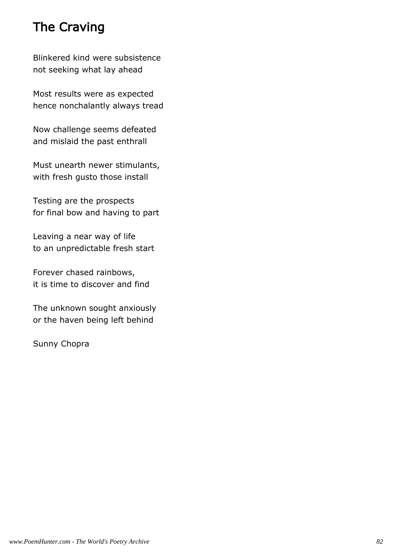# The Craving

Blinkered kind were subsistence not seeking what lay ahead

Most results were as expected hence nonchalantly always tread

Now challenge seems defeated and mislaid the past enthrall

Must unearth newer stimulants, with fresh gusto those install

Testing are the prospects for final bow and having to part

Leaving a near way of life to an unpredictable fresh start

Forever chased rainbows, it is time to discover and find

The unknown sought anxiously or the haven being left behind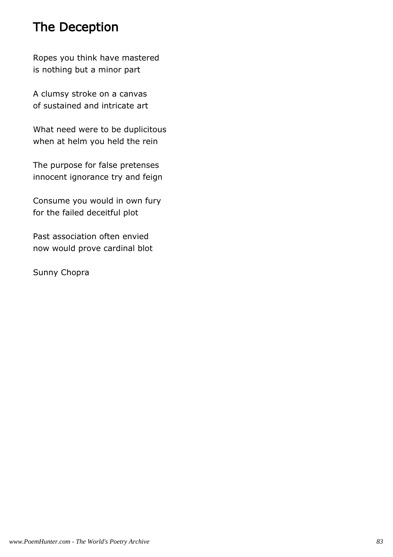# The Deception

Ropes you think have mastered is nothing but a minor part

A clumsy stroke on a canvas of sustained and intricate art

What need were to be duplicitous when at helm you held the rein

The purpose for false pretenses innocent ignorance try and feign

Consume you would in own fury for the failed deceitful plot

Past association often envied now would prove cardinal blot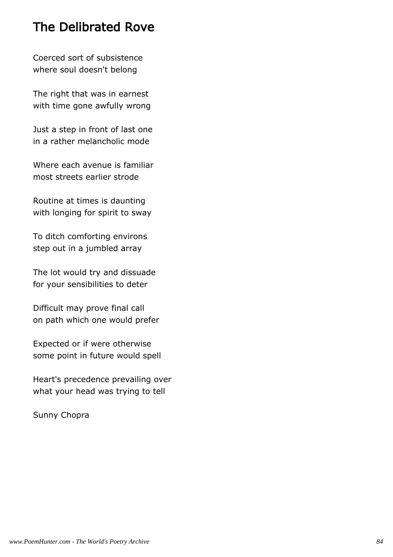### The Delibrated Rove

Coerced sort of subsistence where soul doesn't belong

The right that was in earnest with time gone awfully wrong

Just a step in front of last one in a rather melancholic mode

Where each avenue is familiar most streets earlier strode

Routine at times is daunting with longing for spirit to sway

To ditch comforting environs step out in a jumbled array

The lot would try and dissuade for your sensibilities to deter

Difficult may prove final call on path which one would prefer

Expected or if were otherwise some point in future would spell

Heart's precedence prevailing over what your head was trying to tell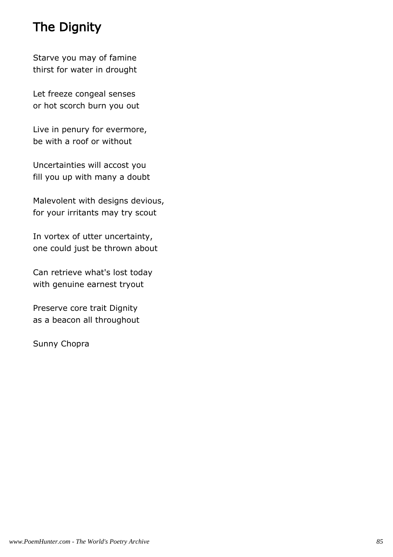# The Dignity

Starve you may of famine thirst for water in drought

Let freeze congeal senses or hot scorch burn you out

Live in penury for evermore, be with a roof or without

Uncertainties will accost you fill you up with many a doubt

Malevolent with designs devious, for your irritants may try scout

In vortex of utter uncertainty, one could just be thrown about

Can retrieve what's lost today with genuine earnest tryout

Preserve core trait Dignity as a beacon all throughout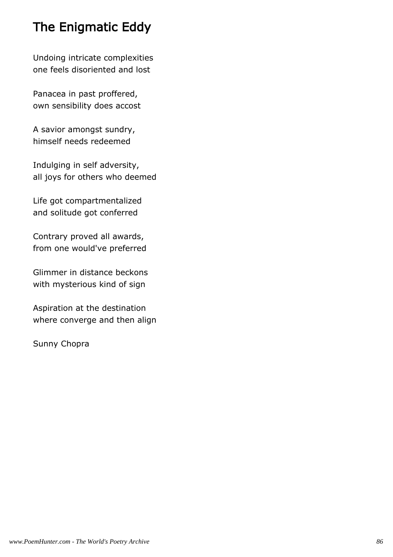# The Enigmatic Eddy

Undoing intricate complexities one feels disoriented and lost

Panacea in past proffered, own sensibility does accost

A savior amongst sundry, himself needs redeemed

Indulging in self adversity, all joys for others who deemed

Life got compartmentalized and solitude got conferred

Contrary proved all awards, from one would've preferred

Glimmer in distance beckons with mysterious kind of sign

Aspiration at the destination where converge and then align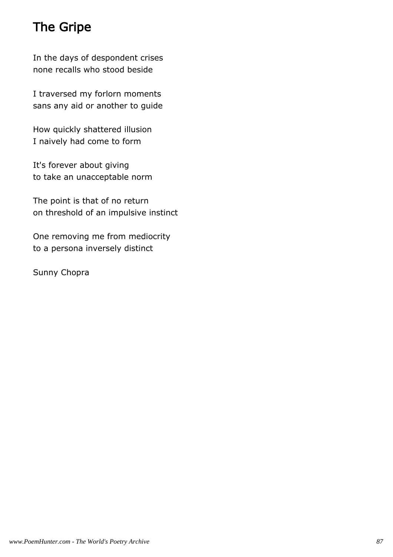# The Gripe

In the days of despondent crises none recalls who stood beside

I traversed my forlorn moments sans any aid or another to guide

How quickly shattered illusion I naively had come to form

It's forever about giving to take an unacceptable norm

The point is that of no return on threshold of an impulsive instinct

One removing me from mediocrity to a persona inversely distinct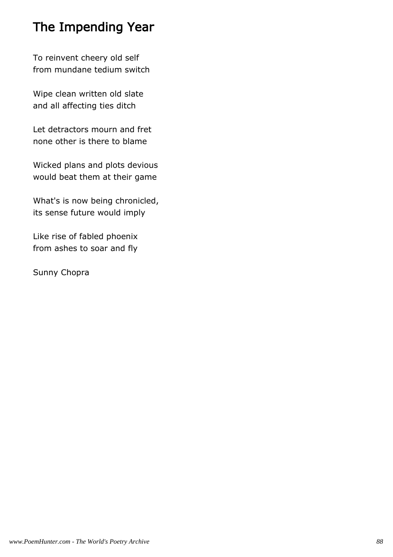# The Impending Year

To reinvent cheery old self from mundane tedium switch

Wipe clean written old slate and all affecting ties ditch

Let detractors mourn and fret none other is there to blame

Wicked plans and plots devious would beat them at their game

What's is now being chronicled, its sense future would imply

Like rise of fabled phoenix from ashes to soar and fly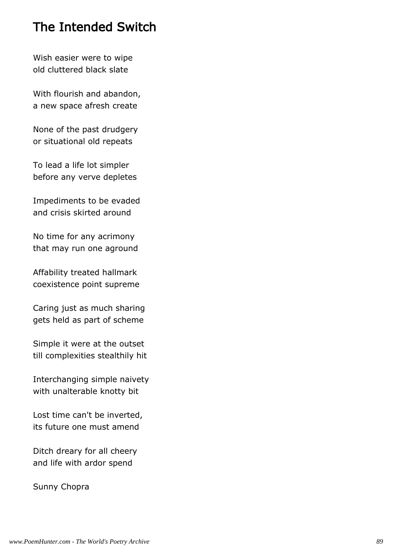#### The Intended Switch

Wish easier were to wipe old cluttered black slate

With flourish and abandon, a new space afresh create

None of the past drudgery or situational old repeats

To lead a life lot simpler before any verve depletes

Impediments to be evaded and crisis skirted around

No time for any acrimony that may run one aground

Affability treated hallmark coexistence point supreme

Caring just as much sharing gets held as part of scheme

Simple it were at the outset till complexities stealthily hit

Interchanging simple naivety with unalterable knotty bit

Lost time can't be inverted, its future one must amend

Ditch dreary for all cheery and life with ardor spend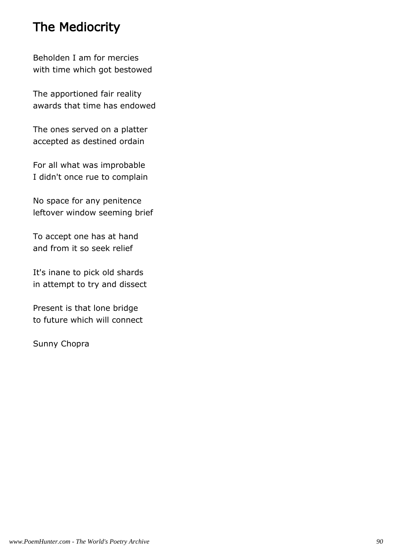# The Mediocrity

Beholden I am for mercies with time which got bestowed

The apportioned fair reality awards that time has endowed

The ones served on a platter accepted as destined ordain

For all what was improbable I didn't once rue to complain

No space for any penitence leftover window seeming brief

To accept one has at hand and from it so seek relief

It's inane to pick old shards in attempt to try and dissect

Present is that lone bridge to future which will connect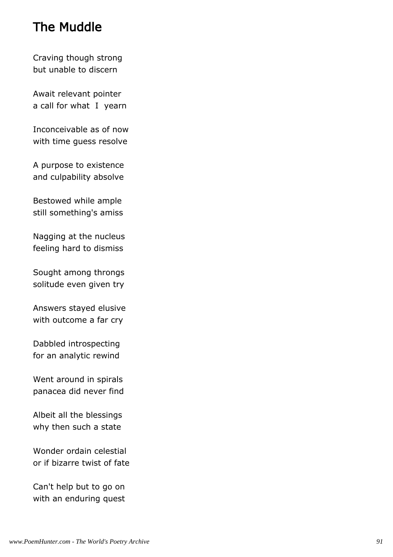### The Muddle

Craving though strong but unable to discern

Await relevant pointer a call for what I yearn

Inconceivable as of now with time guess resolve

A purpose to existence and culpability absolve

Bestowed while ample still something's amiss

Nagging at the nucleus feeling hard to dismiss

Sought among throngs solitude even given try

Answers stayed elusive with outcome a far cry

Dabbled introspecting for an analytic rewind

Went around in spirals panacea did never find

Albeit all the blessings why then such a state

Wonder ordain celestial or if bizarre twist of fate

Can't help but to go on with an enduring quest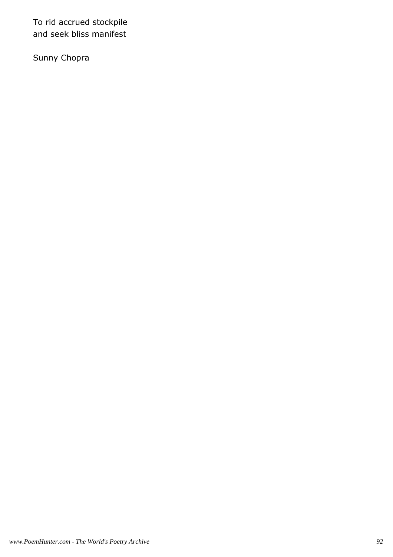To rid accrued stockpile and seek bliss manifest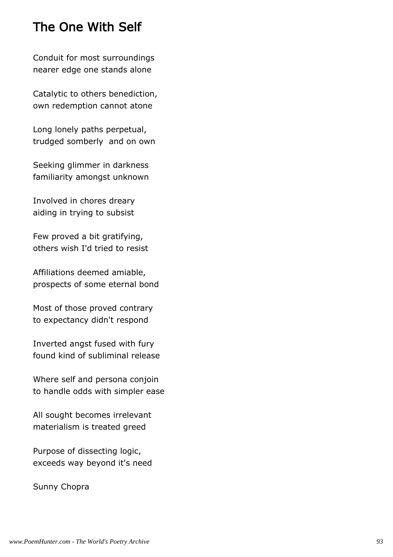### The One With Self

Conduit for most surroundings nearer edge one stands alone

Catalytic to others benediction, own redemption cannot atone

Long lonely paths perpetual, trudged somberly and on own

Seeking glimmer in darkness familiarity amongst unknown

Involved in chores dreary aiding in trying to subsist

Few proved a bit gratifying, others wish I'd tried to resist

Affiliations deemed amiable, prospects of some eternal bond

Most of those proved contrary to expectancy didn't respond

Inverted angst fused with fury found kind of subliminal release

Where self and persona conjoin to handle odds with simpler ease

All sought becomes irrelevant materialism is treated greed

Purpose of dissecting logic, exceeds way beyond it's need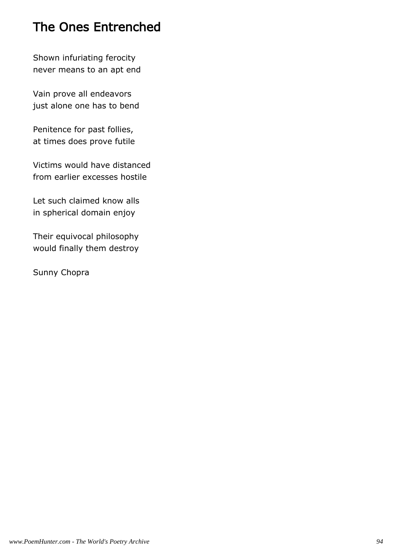# The Ones Entrenched

Shown infuriating ferocity never means to an apt end

Vain prove all endeavors just alone one has to bend

Penitence for past follies, at times does prove futile

Victims would have distanced from earlier excesses hostile

Let such claimed know alls in spherical domain enjoy

Their equivocal philosophy would finally them destroy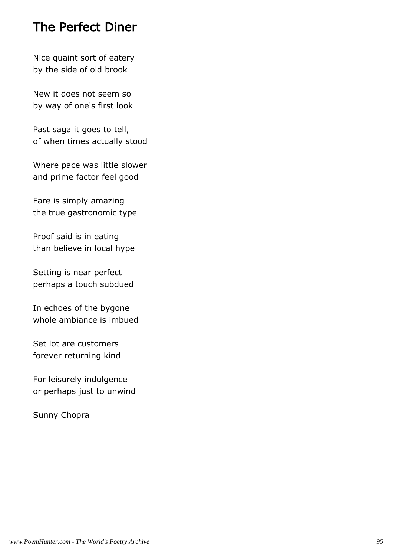#### The Perfect Diner

Nice quaint sort of eatery by the side of old brook

New it does not seem so by way of one's first look

Past saga it goes to tell, of when times actually stood

Where pace was little slower and prime factor feel good

Fare is simply amazing the true gastronomic type

Proof said is in eating than believe in local hype

Setting is near perfect perhaps a touch subdued

In echoes of the bygone whole ambiance is imbued

Set lot are customers forever returning kind

For leisurely indulgence or perhaps just to unwind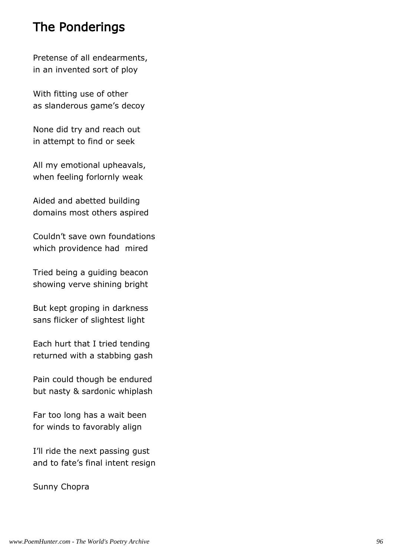### The Ponderings

Pretense of all endearments, in an invented sort of ploy

With fitting use of other as slanderous game's decoy

None did try and reach out in attempt to find or seek

All my emotional upheavals, when feeling forlornly weak

Aided and abetted building domains most others aspired

Couldn't save own foundations which providence had mired

Tried being a guiding beacon showing verve shining bright

But kept groping in darkness sans flicker of slightest light

Each hurt that I tried tending returned with a stabbing gash

Pain could though be endured but nasty & sardonic whiplash

Far too long has a wait been for winds to favorably align

I'll ride the next passing gust and to fate's final intent resign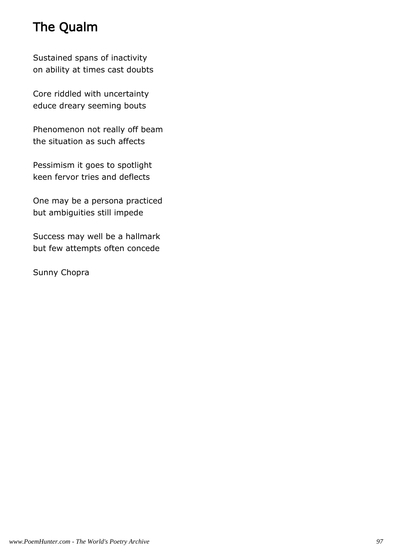# The Qualm

Sustained spans of inactivity on ability at times cast doubts

Core riddled with uncertainty educe dreary seeming bouts

Phenomenon not really off beam the situation as such affects

Pessimism it goes to spotlight keen fervor tries and deflects

One may be a persona practiced but ambiguities still impede

Success may well be a hallmark but few attempts often concede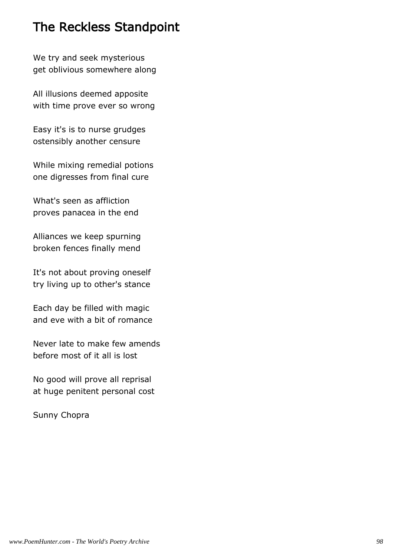# The Reckless Standpoint

We try and seek mysterious get oblivious somewhere along

All illusions deemed apposite with time prove ever so wrong

Easy it's is to nurse grudges ostensibly another censure

While mixing remedial potions one digresses from final cure

What's seen as affliction proves panacea in the end

Alliances we keep spurning broken fences finally mend

It's not about proving oneself try living up to other's stance

Each day be filled with magic and eve with a bit of romance

Never late to make few amends before most of it all is lost

No good will prove all reprisal at huge penitent personal cost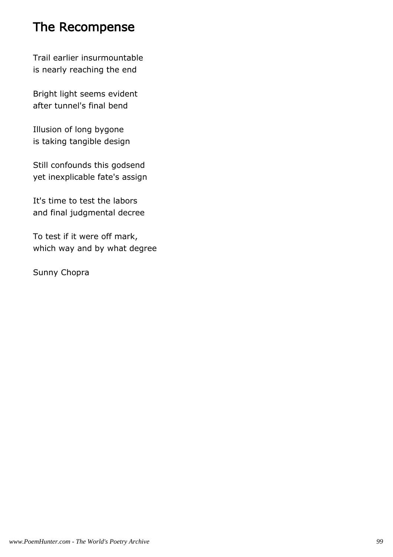# The Recompense

Trail earlier insurmountable is nearly reaching the end

Bright light seems evident after tunnel's final bend

Illusion of long bygone is taking tangible design

Still confounds this godsend yet inexplicable fate's assign

It's time to test the labors and final judgmental decree

To test if it were off mark, which way and by what degree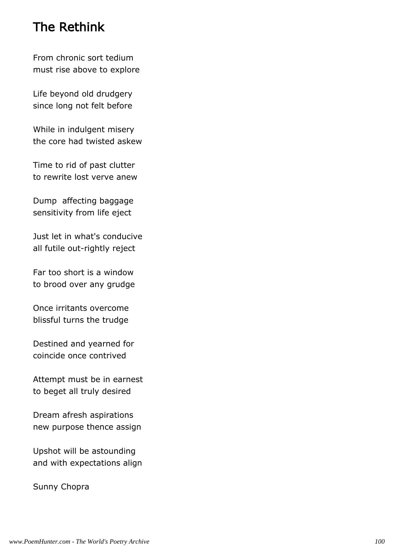## The Rethink

From chronic sort tedium must rise above to explore

Life beyond old drudgery since long not felt before

While in indulgent misery the core had twisted askew

Time to rid of past clutter to rewrite lost verve anew

Dump affecting baggage sensitivity from life eject

Just let in what's conducive all futile out-rightly reject

Far too short is a window to brood over any grudge

Once irritants overcome blissful turns the trudge

Destined and yearned for coincide once contrived

Attempt must be in earnest to beget all truly desired

Dream afresh aspirations new purpose thence assign

Upshot will be astounding and with expectations align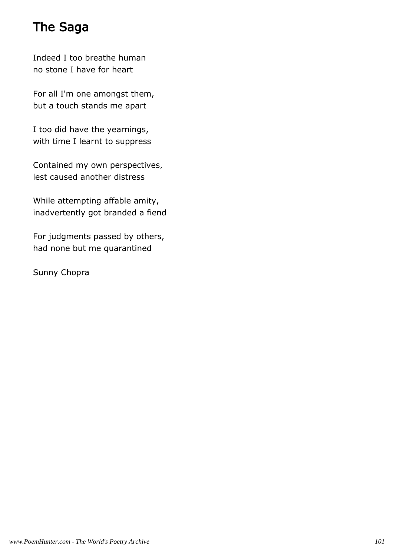# The Saga

Indeed I too breathe human no stone I have for heart

For all I'm one amongst them, but a touch stands me apart

I too did have the yearnings, with time I learnt to suppress

Contained my own perspectives, lest caused another distress

While attempting affable amity, inadvertently got branded a fiend

For judgments passed by others, had none but me quarantined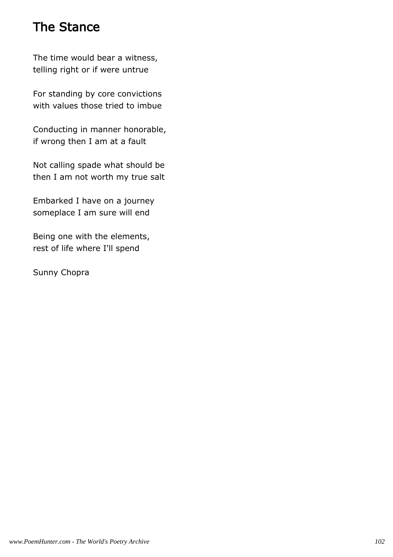# The Stance

The time would bear a witness, telling right or if were untrue

For standing by core convictions with values those tried to imbue

Conducting in manner honorable, if wrong then I am at a fault

Not calling spade what should be then I am not worth my true salt

Embarked I have on a journey someplace I am sure will end

Being one with the elements, rest of life where I'll spend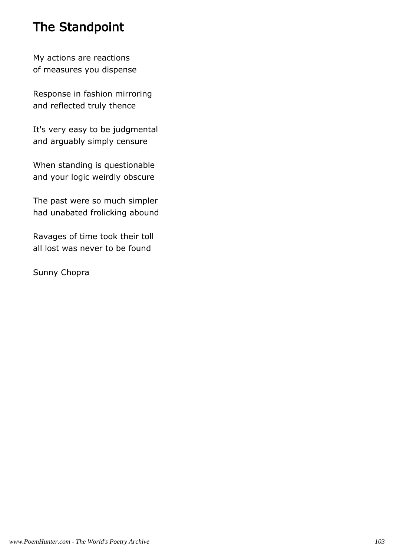# The Standpoint

My actions are reactions of measures you dispense

Response in fashion mirroring and reflected truly thence

It's very easy to be judgmental and arguably simply censure

When standing is questionable and your logic weirdly obscure

The past were so much simpler had unabated frolicking abound

Ravages of time took their toll all lost was never to be found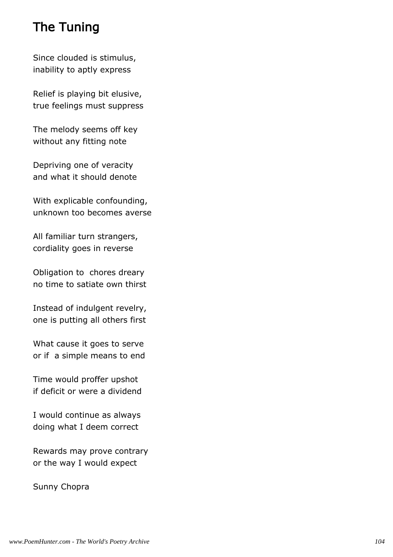# The Tuning

Since clouded is stimulus, inability to aptly express

Relief is playing bit elusive, true feelings must suppress

The melody seems off key without any fitting note

Depriving one of veracity and what it should denote

With explicable confounding, unknown too becomes averse

All familiar turn strangers, cordiality goes in reverse

Obligation to chores dreary no time to satiate own thirst

Instead of indulgent revelry, one is putting all others first

What cause it goes to serve or if a simple means to end

Time would proffer upshot if deficit or were a dividend

I would continue as always doing what I deem correct

Rewards may prove contrary or the way I would expect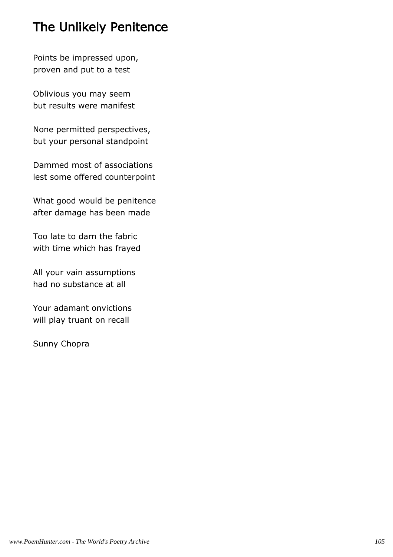# The Unlikely Penitence

Points be impressed upon, proven and put to a test

Oblivious you may seem but results were manifest

None permitted perspectives, but your personal standpoint

Dammed most of associations lest some offered counterpoint

What good would be penitence after damage has been made

Too late to darn the fabric with time which has frayed

All your vain assumptions had no substance at all

Your adamant onvictions will play truant on recall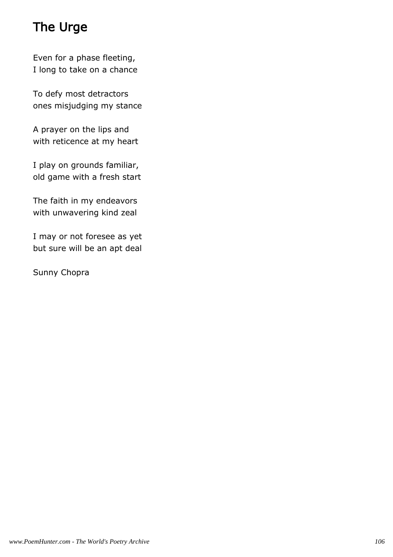# The Urge

Even for a phase fleeting, I long to take on a chance

To defy most detractors ones misjudging my stance

A prayer on the lips and with reticence at my heart

I play on grounds familiar, old game with a fresh start

The faith in my endeavors with unwavering kind zeal

I may or not foresee as yet but sure will be an apt deal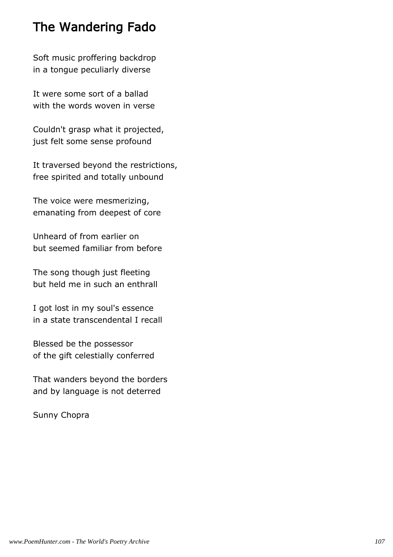### The Wandering Fado

Soft music proffering backdrop in a tongue peculiarly diverse

It were some sort of a ballad with the words woven in verse

Couldn't grasp what it projected, just felt some sense profound

It traversed beyond the restrictions, free spirited and totally unbound

The voice were mesmerizing, emanating from deepest of core

Unheard of from earlier on but seemed familiar from before

The song though just fleeting but held me in such an enthrall

I got lost in my soul's essence in a state transcendental I recall

Blessed be the possessor of the gift celestially conferred

That wanders beyond the borders and by language is not deterred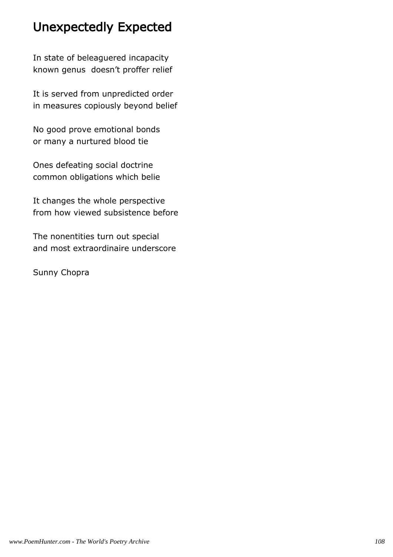# Unexpectedly Expected

In state of beleaguered incapacity known genus doesn't proffer relief

It is served from unpredicted order in measures copiously beyond belief

No good prove emotional bonds or many a nurtured blood tie

Ones defeating social doctrine common obligations which belie

It changes the whole perspective from how viewed subsistence before

The nonentities turn out special and most extraordinaire underscore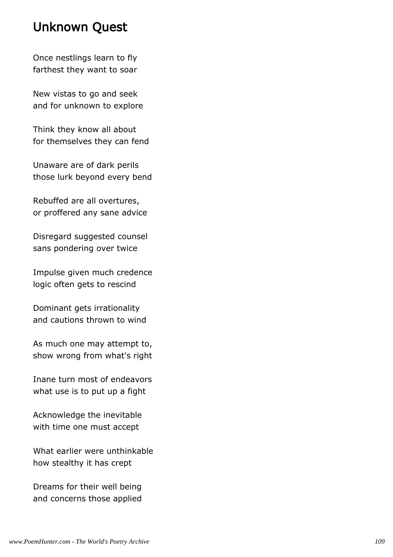#### Unknown Quest

Once nestlings learn to fly farthest they want to soar

New vistas to go and seek and for unknown to explore

Think they know all about for themselves they can fend

Unaware are of dark perils those lurk beyond every bend

Rebuffed are all overtures, or proffered any sane advice

Disregard suggested counsel sans pondering over twice

Impulse given much credence logic often gets to rescind

Dominant gets irrationality and cautions thrown to wind

As much one may attempt to, show wrong from what's right

Inane turn most of endeavors what use is to put up a fight

Acknowledge the inevitable with time one must accept

What earlier were unthinkable how stealthy it has crept

Dreams for their well being and concerns those applied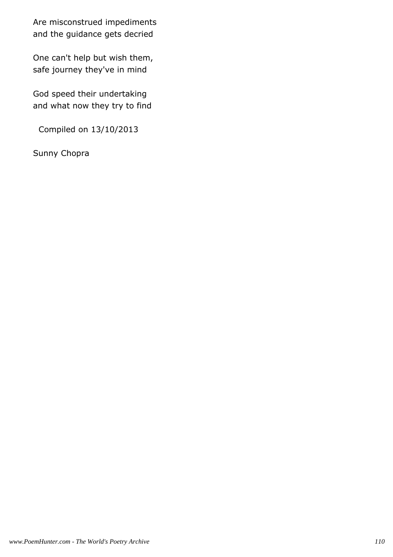Are misconstrued impediments and the guidance gets decried

One can't help but wish them, safe journey they've in mind

God speed their undertaking and what now they try to find

Compiled on 13/10/2013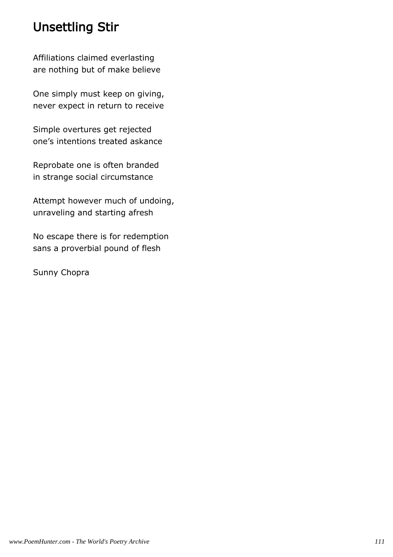# Unsettling Stir

Affiliations claimed everlasting are nothing but of make believe

One simply must keep on giving, never expect in return to receive

Simple overtures get rejected one's intentions treated askance

Reprobate one is often branded in strange social circumstance

Attempt however much of undoing, unraveling and starting afresh

No escape there is for redemption sans a proverbial pound of flesh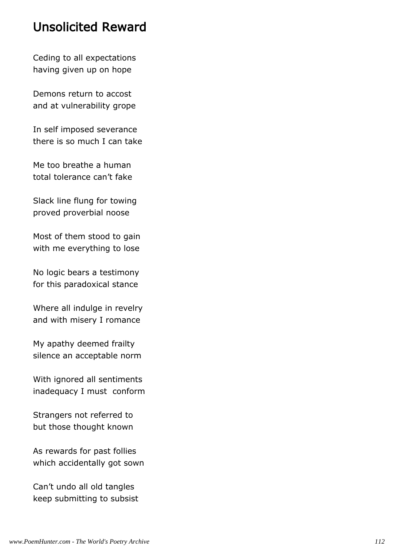#### Unsolicited Reward

Ceding to all expectations having given up on hope

Demons return to accost and at vulnerability grope

In self imposed severance there is so much I can take

Me too breathe a human total tolerance can't fake

Slack line flung for towing proved proverbial noose

Most of them stood to gain with me everything to lose

No logic bears a testimony for this paradoxical stance

Where all indulge in revelry and with misery I romance

My apathy deemed frailty silence an acceptable norm

With ignored all sentiments inadequacy I must conform

Strangers not referred to but those thought known

As rewards for past follies which accidentally got sown

Can't undo all old tangles keep submitting to subsist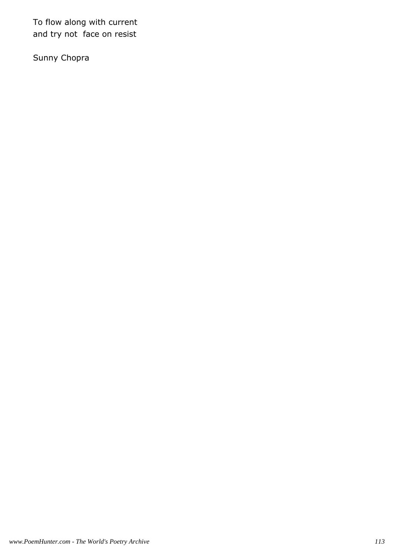To flow along with current and try not face on resist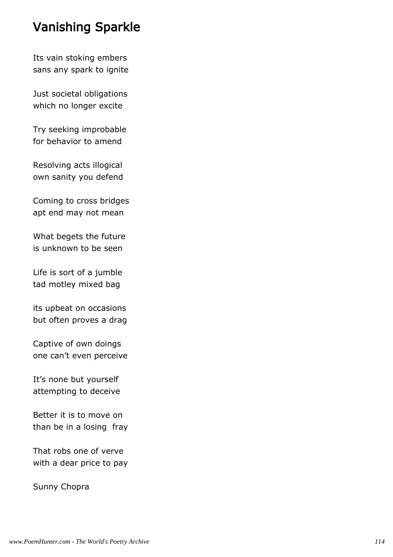## Vanishing Sparkle

Its vain stoking embers sans any spark to ignite

Just societal obligations which no longer excite

Try seeking improbable for behavior to amend

Resolving acts illogical own sanity you defend

Coming to cross bridges apt end may not mean

What begets the future is unknown to be seen

Life is sort of a jumble tad motley mixed bag

its upbeat on occasions but often proves a drag

Captive of own doings one can't even perceive

It's none but yourself attempting to deceive

Better it is to move on than be in a losing fray

That robs one of verve with a dear price to pay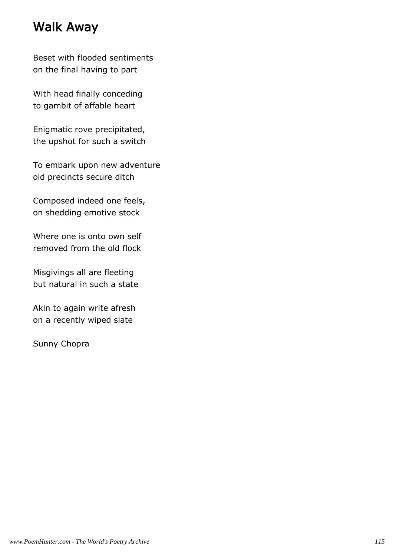### Walk Away

Beset with flooded sentiments on the final having to part

With head finally conceding to gambit of affable heart

Enigmatic rove precipitated, the upshot for such a switch

To embark upon new adventure old precincts secure ditch

Composed indeed one feels, on shedding emotive stock

Where one is onto own self removed from the old flock

Misgivings all are fleeting but natural in such a state

Akin to again write afresh on a recently wiped slate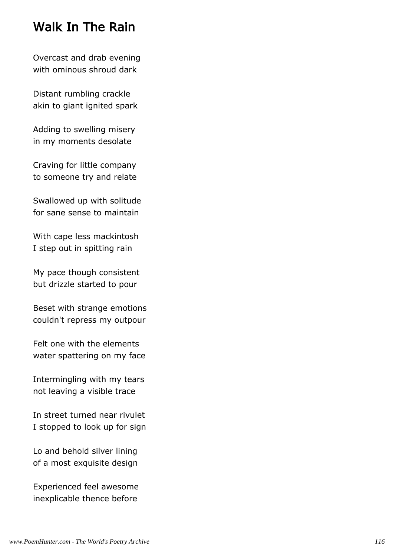### Walk In The Rain

Overcast and drab evening with ominous shroud dark

Distant rumbling crackle akin to giant ignited spark

Adding to swelling misery in my moments desolate

Craving for little company to someone try and relate

Swallowed up with solitude for sane sense to maintain

With cape less mackintosh I step out in spitting rain

My pace though consistent but drizzle started to pour

Beset with strange emotions couldn't repress my outpour

Felt one with the elements water spattering on my face

Intermingling with my tears not leaving a visible trace

In street turned near rivulet I stopped to look up for sign

Lo and behold silver lining of a most exquisite design

Experienced feel awesome inexplicable thence before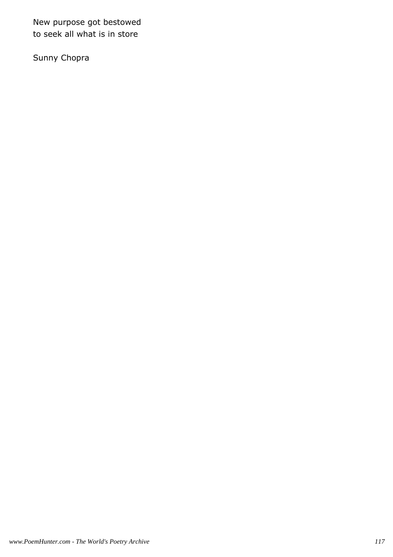New purpose got bestowed to seek all what is in store